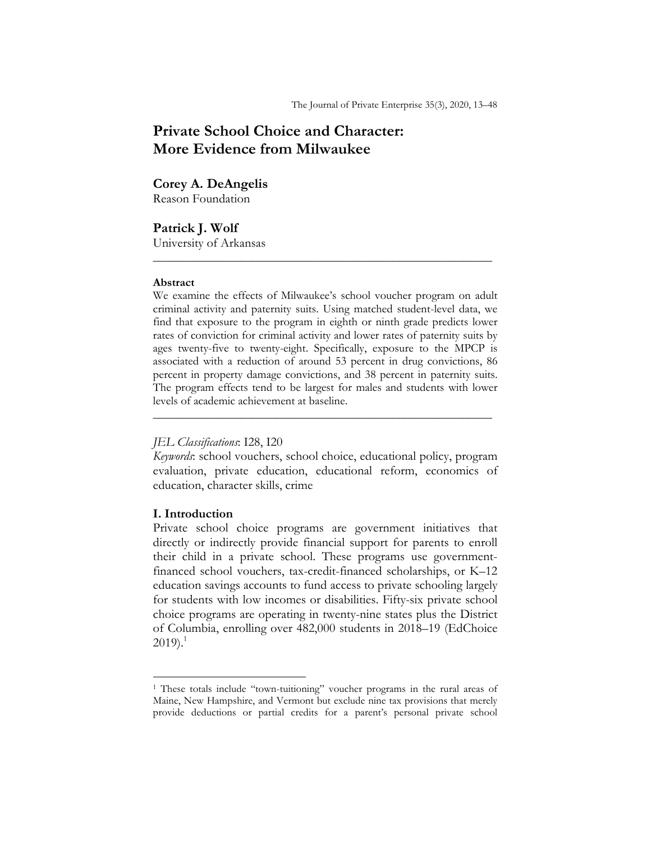# **Private School Choice and Character: More Evidence from Milwaukee**

# **Corey A. DeAngelis**

Reason Foundation

**Patrick J. Wolf**  University of Arkansas

#### **Abstract**

We examine the effects of Milwaukee's school voucher program on adult criminal activity and paternity suits. Using matched student-level data, we find that exposure to the program in eighth or ninth grade predicts lower rates of conviction for criminal activity and lower rates of paternity suits by ages twenty-five to twenty-eight. Specifically, exposure to the MPCP is associated with a reduction of around 53 percent in drug convictions, 86 percent in property damage convictions, and 38 percent in paternity suits. The program effects tend to be largest for males and students with lower levels of academic achievement at baseline.

**\_\_\_\_\_\_\_\_\_\_\_\_\_\_\_\_\_\_\_\_\_\_\_\_\_\_\_\_\_\_\_\_\_\_\_\_\_\_\_\_\_\_\_\_\_\_\_\_\_\_\_\_\_\_\_\_\_\_** 

### *JEL Classifications*: I28, I20

*Keywords*: school vouchers, school choice, educational policy, program evaluation, private education, educational reform, economics of education, character skills, crime

**\_\_\_\_\_\_\_\_\_\_\_\_\_\_\_\_\_\_\_\_\_\_\_\_\_\_\_\_\_\_\_\_\_\_\_\_\_\_\_\_\_\_\_\_\_\_\_\_\_\_\_\_\_\_\_\_\_\_** 

### **I. Introduction**

l

Private school choice programs are government initiatives that directly or indirectly provide financial support for parents to enroll their child in a private school. These programs use governmentfinanced school vouchers, tax-credit-financed scholarships, or K–12 education savings accounts to fund access to private schooling largely for students with low incomes or disabilities. Fifty-six private school choice programs are operating in twenty-nine states plus the District of Columbia, enrolling over 482,000 students in 2018–19 (EdChoice  $2019$ .<sup>1</sup>

<sup>&</sup>lt;sup>1</sup> These totals include "town-tuitioning" voucher programs in the rural areas of Maine, New Hampshire, and Vermont but exclude nine tax provisions that merely provide deductions or partial credits for a parent's personal private school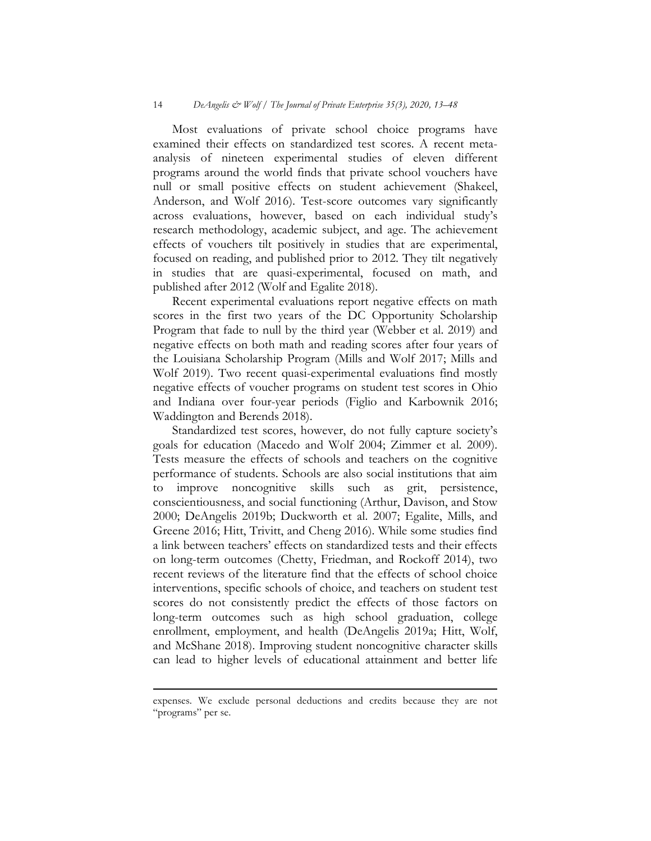Most evaluations of private school choice programs have examined their effects on standardized test scores. A recent metaanalysis of nineteen experimental studies of eleven different programs around the world finds that private school vouchers have null or small positive effects on student achievement (Shakeel, Anderson, and Wolf 2016). Test-score outcomes vary significantly across evaluations, however, based on each individual study's research methodology, academic subject, and age. The achievement effects of vouchers tilt positively in studies that are experimental, focused on reading, and published prior to 2012. They tilt negatively in studies that are quasi-experimental, focused on math, and published after 2012 (Wolf and Egalite 2018).

Recent experimental evaluations report negative effects on math scores in the first two years of the DC Opportunity Scholarship Program that fade to null by the third year (Webber et al. 2019) and negative effects on both math and reading scores after four years of the Louisiana Scholarship Program (Mills and Wolf 2017; Mills and Wolf 2019). Two recent quasi-experimental evaluations find mostly negative effects of voucher programs on student test scores in Ohio and Indiana over four-year periods (Figlio and Karbownik 2016; Waddington and Berends 2018).

Standardized test scores, however, do not fully capture society's goals for education (Macedo and Wolf 2004; Zimmer et al. 2009). Tests measure the effects of schools and teachers on the cognitive performance of students. Schools are also social institutions that aim to improve noncognitive skills such as grit, persistence, conscientiousness, and social functioning (Arthur, Davison, and Stow 2000; DeAngelis 2019b; Duckworth et al. 2007; Egalite, Mills, and Greene 2016; Hitt, Trivitt, and Cheng 2016). While some studies find a link between teachers' effects on standardized tests and their effects on long-term outcomes (Chetty, Friedman, and Rockoff 2014), two recent reviews of the literature find that the effects of school choice interventions, specific schools of choice, and teachers on student test scores do not consistently predict the effects of those factors on long-term outcomes such as high school graduation, college enrollment, employment, and health (DeAngelis 2019a; Hitt, Wolf, and McShane 2018). Improving student noncognitive character skills can lead to higher levels of educational attainment and better life

l

expenses. We exclude personal deductions and credits because they are not "programs" per se.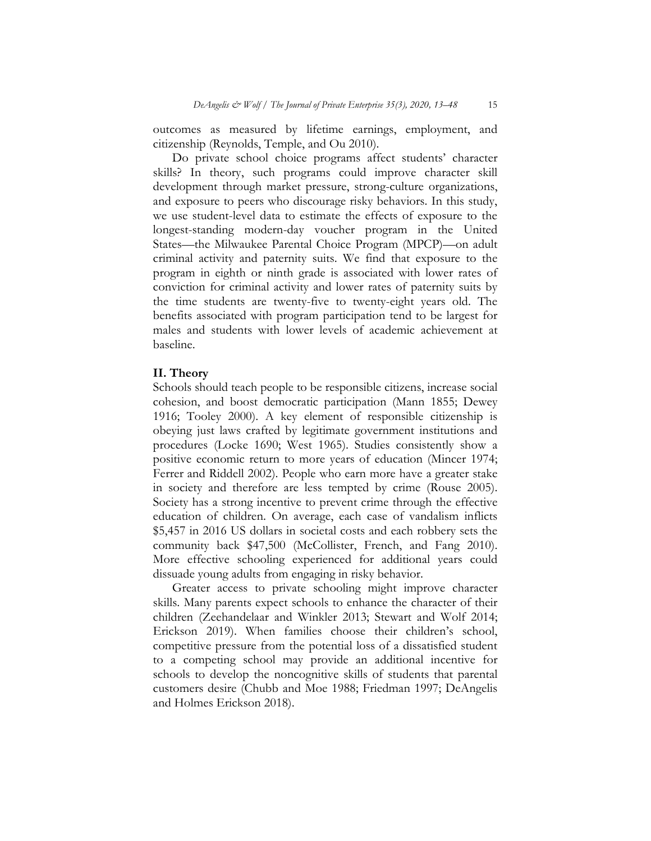outcomes as measured by lifetime earnings, employment, and citizenship (Reynolds, Temple, and Ou 2010).

Do private school choice programs affect students' character skills? In theory, such programs could improve character skill development through market pressure, strong-culture organizations, and exposure to peers who discourage risky behaviors. In this study, we use student-level data to estimate the effects of exposure to the longest-standing modern-day voucher program in the United States—the Milwaukee Parental Choice Program (MPCP)—on adult criminal activity and paternity suits. We find that exposure to the program in eighth or ninth grade is associated with lower rates of conviction for criminal activity and lower rates of paternity suits by the time students are twenty-five to twenty-eight years old. The benefits associated with program participation tend to be largest for males and students with lower levels of academic achievement at baseline.

### **II. Theory**

Schools should teach people to be responsible citizens, increase social cohesion, and boost democratic participation (Mann 1855; Dewey 1916; Tooley 2000). A key element of responsible citizenship is obeying just laws crafted by legitimate government institutions and procedures (Locke 1690; West 1965). Studies consistently show a positive economic return to more years of education (Mincer 1974; Ferrer and Riddell 2002). People who earn more have a greater stake in society and therefore are less tempted by crime (Rouse 2005). Society has a strong incentive to prevent crime through the effective education of children. On average, each case of vandalism inflicts \$5,457 in 2016 US dollars in societal costs and each robbery sets the community back \$47,500 (McCollister, French, and Fang 2010). More effective schooling experienced for additional years could dissuade young adults from engaging in risky behavior.

Greater access to private schooling might improve character skills. Many parents expect schools to enhance the character of their children (Zeehandelaar and Winkler 2013; Stewart and Wolf 2014; Erickson 2019). When families choose their children's school, competitive pressure from the potential loss of a dissatisfied student to a competing school may provide an additional incentive for schools to develop the noncognitive skills of students that parental customers desire (Chubb and Moe 1988; Friedman 1997; DeAngelis and Holmes Erickson 2018).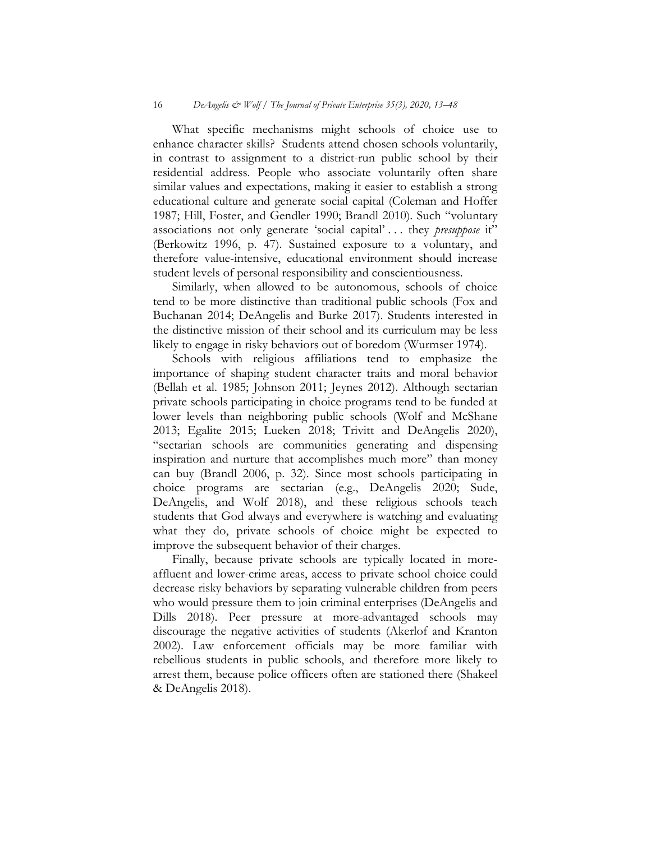What specific mechanisms might schools of choice use to enhance character skills? Students attend chosen schools voluntarily, in contrast to assignment to a district-run public school by their residential address. People who associate voluntarily often share similar values and expectations, making it easier to establish a strong educational culture and generate social capital (Coleman and Hoffer 1987; Hill, Foster, and Gendler 1990; Brandl 2010). Such "voluntary associations not only generate 'social capital' . . . they *presuppose* it" (Berkowitz 1996, p. 47). Sustained exposure to a voluntary, and therefore value-intensive, educational environment should increase student levels of personal responsibility and conscientiousness.

Similarly, when allowed to be autonomous, schools of choice tend to be more distinctive than traditional public schools (Fox and Buchanan 2014; DeAngelis and Burke 2017). Students interested in the distinctive mission of their school and its curriculum may be less likely to engage in risky behaviors out of boredom (Wurmser 1974).

Schools with religious affiliations tend to emphasize the importance of shaping student character traits and moral behavior (Bellah et al. 1985; Johnson 2011; Jeynes 2012). Although sectarian private schools participating in choice programs tend to be funded at lower levels than neighboring public schools (Wolf and McShane 2013; Egalite 2015; Lueken 2018; Trivitt and DeAngelis 2020), "sectarian schools are communities generating and dispensing inspiration and nurture that accomplishes much more" than money can buy (Brandl 2006, p. 32). Since most schools participating in choice programs are sectarian (e.g., DeAngelis 2020; Sude, DeAngelis, and Wolf 2018), and these religious schools teach students that God always and everywhere is watching and evaluating what they do, private schools of choice might be expected to improve the subsequent behavior of their charges.

Finally, because private schools are typically located in moreaffluent and lower-crime areas, access to private school choice could decrease risky behaviors by separating vulnerable children from peers who would pressure them to join criminal enterprises (DeAngelis and Dills 2018). Peer pressure at more-advantaged schools may discourage the negative activities of students (Akerlof and Kranton 2002). Law enforcement officials may be more familiar with rebellious students in public schools, and therefore more likely to arrest them, because police officers often are stationed there (Shakeel & DeAngelis 2018).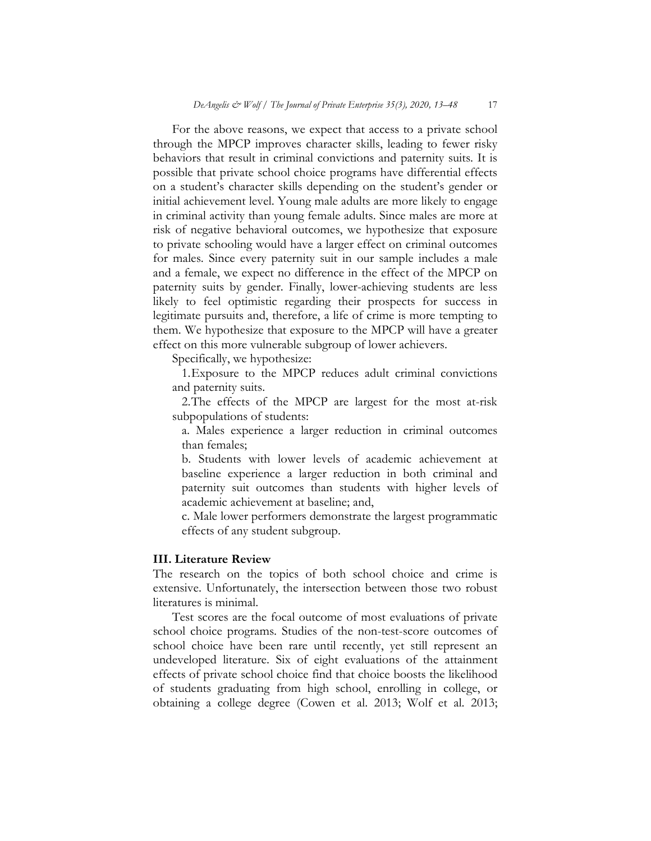For the above reasons, we expect that access to a private school through the MPCP improves character skills, leading to fewer risky behaviors that result in criminal convictions and paternity suits. It is possible that private school choice programs have differential effects on a student's character skills depending on the student's gender or initial achievement level. Young male adults are more likely to engage in criminal activity than young female adults. Since males are more at risk of negative behavioral outcomes, we hypothesize that exposure to private schooling would have a larger effect on criminal outcomes for males. Since every paternity suit in our sample includes a male and a female, we expect no difference in the effect of the MPCP on paternity suits by gender. Finally, lower-achieving students are less likely to feel optimistic regarding their prospects for success in legitimate pursuits and, therefore, a life of crime is more tempting to them. We hypothesize that exposure to the MPCP will have a greater effect on this more vulnerable subgroup of lower achievers.

Specifically, we hypothesize:

1.Exposure to the MPCP reduces adult criminal convictions and paternity suits.

2.The effects of the MPCP are largest for the most at-risk subpopulations of students:

a. Males experience a larger reduction in criminal outcomes than females;

b. Students with lower levels of academic achievement at baseline experience a larger reduction in both criminal and paternity suit outcomes than students with higher levels of academic achievement at baseline; and,

c. Male lower performers demonstrate the largest programmatic effects of any student subgroup.

#### **III. Literature Review**

The research on the topics of both school choice and crime is extensive. Unfortunately, the intersection between those two robust literatures is minimal.

Test scores are the focal outcome of most evaluations of private school choice programs. Studies of the non-test-score outcomes of school choice have been rare until recently, yet still represent an undeveloped literature. Six of eight evaluations of the attainment effects of private school choice find that choice boosts the likelihood of students graduating from high school, enrolling in college, or obtaining a college degree (Cowen et al. 2013; Wolf et al. 2013;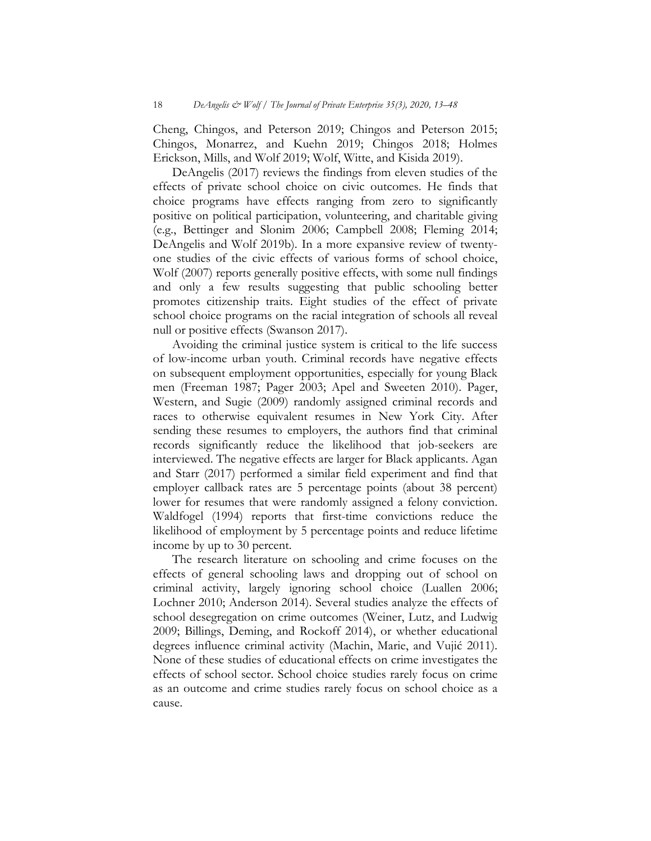Cheng, Chingos, and Peterson 2019; Chingos and Peterson 2015; Chingos, Monarrez, and Kuehn 2019; Chingos 2018; Holmes Erickson, Mills, and Wolf 2019; Wolf, Witte, and Kisida 2019).

DeAngelis (2017) reviews the findings from eleven studies of the effects of private school choice on civic outcomes. He finds that choice programs have effects ranging from zero to significantly positive on political participation, volunteering, and charitable giving (e.g., Bettinger and Slonim 2006; Campbell 2008; Fleming 2014; DeAngelis and Wolf 2019b). In a more expansive review of twentyone studies of the civic effects of various forms of school choice, Wolf (2007) reports generally positive effects, with some null findings and only a few results suggesting that public schooling better promotes citizenship traits. Eight studies of the effect of private school choice programs on the racial integration of schools all reveal null or positive effects (Swanson 2017).

Avoiding the criminal justice system is critical to the life success of low-income urban youth. Criminal records have negative effects on subsequent employment opportunities, especially for young Black men (Freeman 1987; Pager 2003; Apel and Sweeten 2010). Pager, Western, and Sugie (2009) randomly assigned criminal records and races to otherwise equivalent resumes in New York City. After sending these resumes to employers, the authors find that criminal records significantly reduce the likelihood that job-seekers are interviewed. The negative effects are larger for Black applicants. Agan and Starr (2017) performed a similar field experiment and find that employer callback rates are 5 percentage points (about 38 percent) lower for resumes that were randomly assigned a felony conviction. Waldfogel (1994) reports that first-time convictions reduce the likelihood of employment by 5 percentage points and reduce lifetime income by up to 30 percent.

The research literature on schooling and crime focuses on the effects of general schooling laws and dropping out of school on criminal activity, largely ignoring school choice (Luallen 2006; Lochner 2010; Anderson 2014). Several studies analyze the effects of school desegregation on crime outcomes (Weiner, Lutz, and Ludwig 2009; Billings, Deming, and Rockoff 2014), or whether educational degrees influence criminal activity (Machin, Marie, and Vujić 2011). None of these studies of educational effects on crime investigates the effects of school sector. School choice studies rarely focus on crime as an outcome and crime studies rarely focus on school choice as a cause.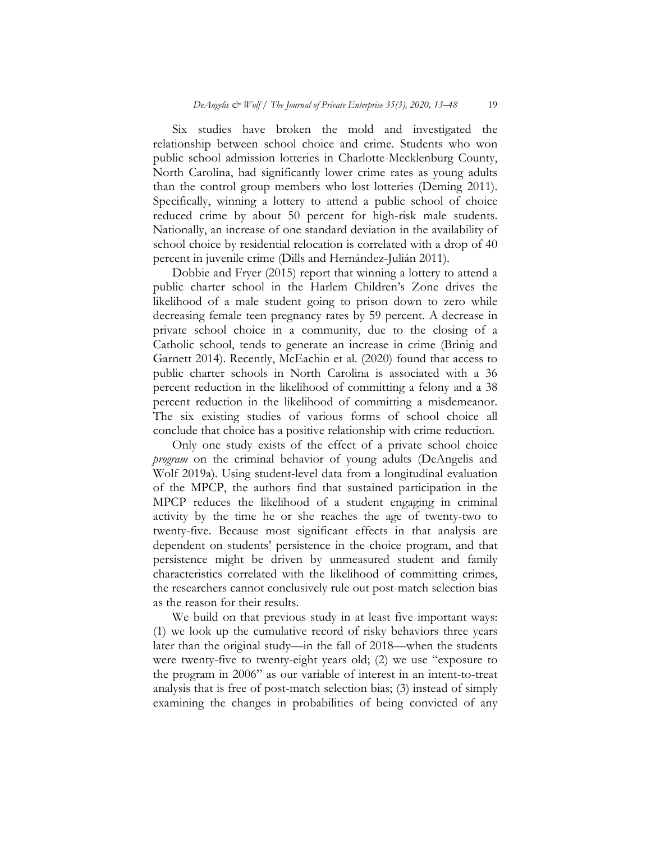Six studies have broken the mold and investigated the relationship between school choice and crime. Students who won public school admission lotteries in Charlotte-Mecklenburg County, North Carolina, had significantly lower crime rates as young adults than the control group members who lost lotteries (Deming 2011). Specifically, winning a lottery to attend a public school of choice reduced crime by about 50 percent for high-risk male students. Nationally, an increase of one standard deviation in the availability of school choice by residential relocation is correlated with a drop of 40 percent in juvenile crime (Dills and Hernández-Julián 2011).

Dobbie and Fryer (2015) report that winning a lottery to attend a public charter school in the Harlem Children's Zone drives the likelihood of a male student going to prison down to zero while decreasing female teen pregnancy rates by 59 percent. A decrease in private school choice in a community, due to the closing of a Catholic school, tends to generate an increase in crime (Brinig and Garnett 2014). Recently, McEachin et al. (2020) found that access to public charter schools in North Carolina is associated with a 36 percent reduction in the likelihood of committing a felony and a 38 percent reduction in the likelihood of committing a misdemeanor. The six existing studies of various forms of school choice all conclude that choice has a positive relationship with crime reduction.

Only one study exists of the effect of a private school choice *program* on the criminal behavior of young adults (DeAngelis and Wolf 2019a). Using student-level data from a longitudinal evaluation of the MPCP, the authors find that sustained participation in the MPCP reduces the likelihood of a student engaging in criminal activity by the time he or she reaches the age of twenty-two to twenty-five. Because most significant effects in that analysis are dependent on students' persistence in the choice program, and that persistence might be driven by unmeasured student and family characteristics correlated with the likelihood of committing crimes, the researchers cannot conclusively rule out post-match selection bias as the reason for their results.

We build on that previous study in at least five important ways: (1) we look up the cumulative record of risky behaviors three years later than the original study—in the fall of 2018—when the students were twenty-five to twenty-eight years old; (2) we use "exposure to the program in 2006" as our variable of interest in an intent-to-treat analysis that is free of post-match selection bias; (3) instead of simply examining the changes in probabilities of being convicted of any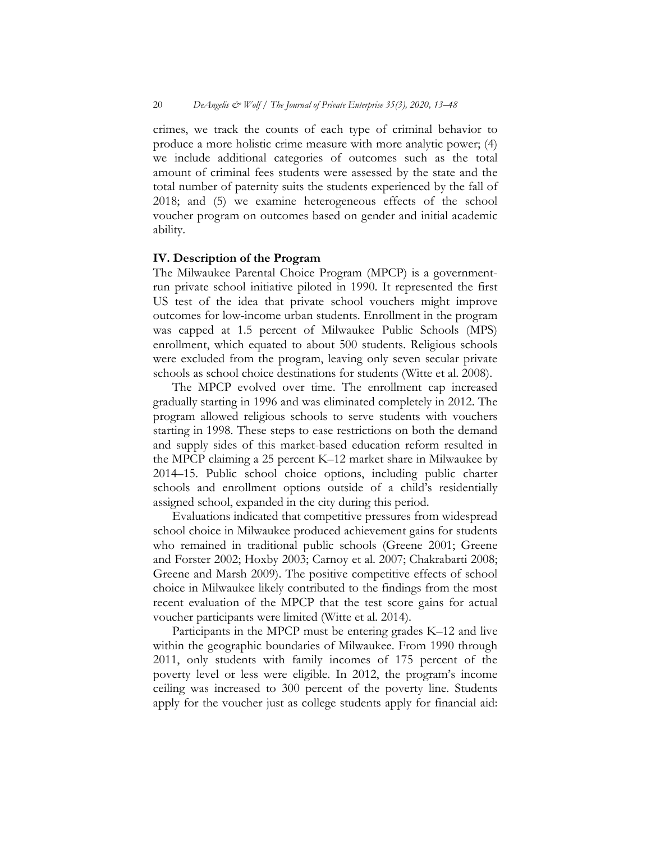crimes, we track the counts of each type of criminal behavior to produce a more holistic crime measure with more analytic power; (4) we include additional categories of outcomes such as the total amount of criminal fees students were assessed by the state and the total number of paternity suits the students experienced by the fall of 2018; and (5) we examine heterogeneous effects of the school voucher program on outcomes based on gender and initial academic ability.

### **IV. Description of the Program**

The Milwaukee Parental Choice Program (MPCP) is a governmentrun private school initiative piloted in 1990. It represented the first US test of the idea that private school vouchers might improve outcomes for low-income urban students. Enrollment in the program was capped at 1.5 percent of Milwaukee Public Schools (MPS) enrollment, which equated to about 500 students. Religious schools were excluded from the program, leaving only seven secular private schools as school choice destinations for students (Witte et al. 2008).

The MPCP evolved over time. The enrollment cap increased gradually starting in 1996 and was eliminated completely in 2012. The program allowed religious schools to serve students with vouchers starting in 1998. These steps to ease restrictions on both the demand and supply sides of this market-based education reform resulted in the MPCP claiming a 25 percent K–12 market share in Milwaukee by 2014–15. Public school choice options, including public charter schools and enrollment options outside of a child's residentially assigned school, expanded in the city during this period.

Evaluations indicated that competitive pressures from widespread school choice in Milwaukee produced achievement gains for students who remained in traditional public schools (Greene 2001; Greene and Forster 2002; Hoxby 2003; Carnoy et al. 2007; Chakrabarti 2008; Greene and Marsh 2009). The positive competitive effects of school choice in Milwaukee likely contributed to the findings from the most recent evaluation of the MPCP that the test score gains for actual voucher participants were limited (Witte et al. 2014).

Participants in the MPCP must be entering grades K–12 and live within the geographic boundaries of Milwaukee. From 1990 through 2011, only students with family incomes of 175 percent of the poverty level or less were eligible. In 2012, the program's income ceiling was increased to 300 percent of the poverty line. Students apply for the voucher just as college students apply for financial aid: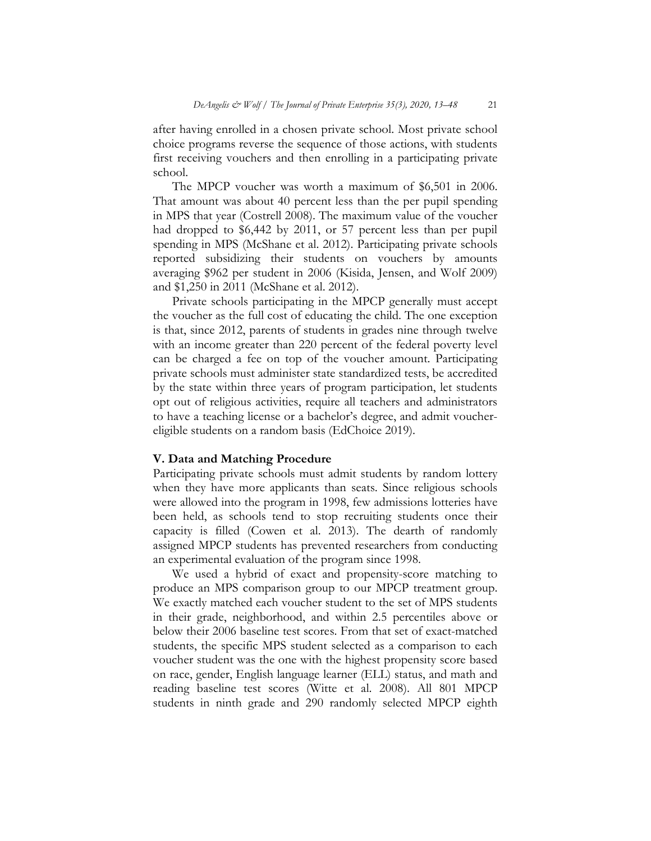after having enrolled in a chosen private school. Most private school choice programs reverse the sequence of those actions, with students first receiving vouchers and then enrolling in a participating private school.

The MPCP voucher was worth a maximum of \$6,501 in 2006. That amount was about 40 percent less than the per pupil spending in MPS that year (Costrell 2008). The maximum value of the voucher had dropped to \$6,442 by 2011, or 57 percent less than per pupil spending in MPS (McShane et al. 2012). Participating private schools reported subsidizing their students on vouchers by amounts averaging \$962 per student in 2006 (Kisida, Jensen, and Wolf 2009) and \$1,250 in 2011 (McShane et al. 2012).

Private schools participating in the MPCP generally must accept the voucher as the full cost of educating the child. The one exception is that, since 2012, parents of students in grades nine through twelve with an income greater than 220 percent of the federal poverty level can be charged a fee on top of the voucher amount. Participating private schools must administer state standardized tests, be accredited by the state within three years of program participation, let students opt out of religious activities, require all teachers and administrators to have a teaching license or a bachelor's degree, and admit vouchereligible students on a random basis (EdChoice 2019).

#### **V. Data and Matching Procedure**

Participating private schools must admit students by random lottery when they have more applicants than seats. Since religious schools were allowed into the program in 1998, few admissions lotteries have been held, as schools tend to stop recruiting students once their capacity is filled (Cowen et al. 2013). The dearth of randomly assigned MPCP students has prevented researchers from conducting an experimental evaluation of the program since 1998.

We used a hybrid of exact and propensity-score matching to produce an MPS comparison group to our MPCP treatment group. We exactly matched each voucher student to the set of MPS students in their grade, neighborhood, and within 2.5 percentiles above or below their 2006 baseline test scores. From that set of exact-matched students, the specific MPS student selected as a comparison to each voucher student was the one with the highest propensity score based on race, gender, English language learner (ELL) status, and math and reading baseline test scores (Witte et al. 2008). All 801 MPCP students in ninth grade and 290 randomly selected MPCP eighth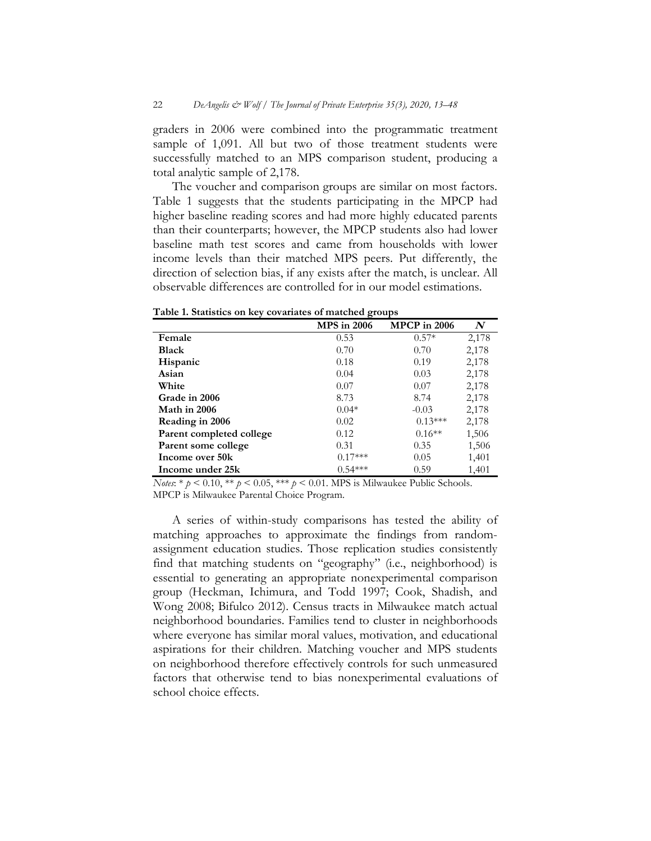graders in 2006 were combined into the programmatic treatment sample of 1,091. All but two of those treatment students were successfully matched to an MPS comparison student, producing a total analytic sample of 2,178.

The voucher and comparison groups are similar on most factors. Table 1 suggests that the students participating in the MPCP had higher baseline reading scores and had more highly educated parents than their counterparts; however, the MPCP students also had lower baseline math test scores and came from households with lower income levels than their matched MPS peers. Put differently, the direction of selection bias, if any exists after the match, is unclear. All observable differences are controlled for in our model estimations.

|                          | <b>MPS</b> in 2006 | <b>MPCP</b> in 2006 | $\boldsymbol{N}$ |
|--------------------------|--------------------|---------------------|------------------|
| Female                   | 0.53               | $0.57*$             | 2,178            |
| <b>Black</b>             | 0.70               | 0.70                | 2,178            |
| <b>Hispanic</b>          | 0.18               | 0.19                | 2,178            |
| Asian                    | 0.04               | 0.03                | 2,178            |
| White                    | 0.07               | 0.07                | 2,178            |
| Grade in 2006            | 8.73               | 8.74                | 2,178            |
| Math in 2006             | $0.04*$            | $-0.03$             | 2,178            |
| Reading in 2006          | 0.02               | $0.13***$           | 2,178            |
| Parent completed college | 0.12               | $0.16**$            | 1,506            |
| Parent some college      | 0.31               | 0.35                | 1,506            |
| Income over 50k          | $0.17***$          | 0.05                | 1,401            |
| Income under 25k         | $0.54***$          | 0.59                | 1,401            |

**Table 1. Statistics on key covariates of matched groups** 

*Notes*: \*  $p < 0.10$ , \*\*  $p < 0.05$ , \*\*\*  $p < 0.01$ . MPS is Milwaukee Public Schools. MPCP is Milwaukee Parental Choice Program.

A series of within-study comparisons has tested the ability of matching approaches to approximate the findings from randomassignment education studies. Those replication studies consistently find that matching students on "geography" (i.e., neighborhood) is essential to generating an appropriate nonexperimental comparison group (Heckman, Ichimura, and Todd 1997; Cook, Shadish, and Wong 2008; Bifulco 2012). Census tracts in Milwaukee match actual neighborhood boundaries. Families tend to cluster in neighborhoods where everyone has similar moral values, motivation, and educational aspirations for their children. Matching voucher and MPS students on neighborhood therefore effectively controls for such unmeasured factors that otherwise tend to bias nonexperimental evaluations of school choice effects.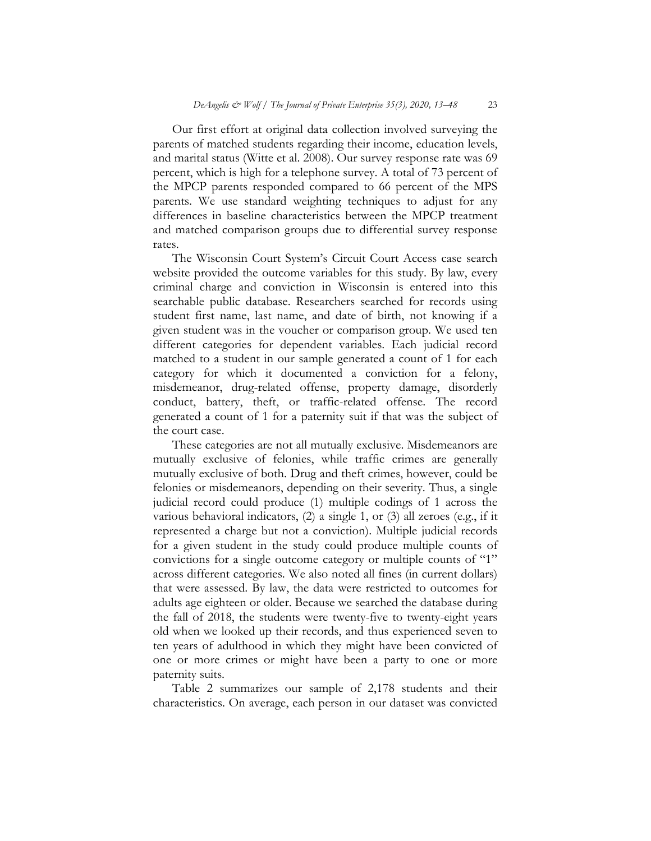Our first effort at original data collection involved surveying the parents of matched students regarding their income, education levels, and marital status (Witte et al. 2008). Our survey response rate was 69 percent, which is high for a telephone survey. A total of 73 percent of the MPCP parents responded compared to 66 percent of the MPS parents. We use standard weighting techniques to adjust for any differences in baseline characteristics between the MPCP treatment and matched comparison groups due to differential survey response rates.

The Wisconsin Court System's Circuit Court Access case search website provided the outcome variables for this study. By law, every criminal charge and conviction in Wisconsin is entered into this searchable public database. Researchers searched for records using student first name, last name, and date of birth, not knowing if a given student was in the voucher or comparison group. We used ten different categories for dependent variables. Each judicial record matched to a student in our sample generated a count of 1 for each category for which it documented a conviction for a felony, misdemeanor, drug-related offense, property damage, disorderly conduct, battery, theft, or traffic-related offense. The record generated a count of 1 for a paternity suit if that was the subject of the court case.

These categories are not all mutually exclusive. Misdemeanors are mutually exclusive of felonies, while traffic crimes are generally mutually exclusive of both. Drug and theft crimes, however, could be felonies or misdemeanors, depending on their severity. Thus, a single judicial record could produce (1) multiple codings of 1 across the various behavioral indicators, (2) a single 1, or (3) all zeroes (e.g., if it represented a charge but not a conviction). Multiple judicial records for a given student in the study could produce multiple counts of convictions for a single outcome category or multiple counts of "1" across different categories. We also noted all fines (in current dollars) that were assessed. By law, the data were restricted to outcomes for adults age eighteen or older. Because we searched the database during the fall of 2018, the students were twenty-five to twenty-eight years old when we looked up their records, and thus experienced seven to ten years of adulthood in which they might have been convicted of one or more crimes or might have been a party to one or more paternity suits.

Table 2 summarizes our sample of 2,178 students and their characteristics. On average, each person in our dataset was convicted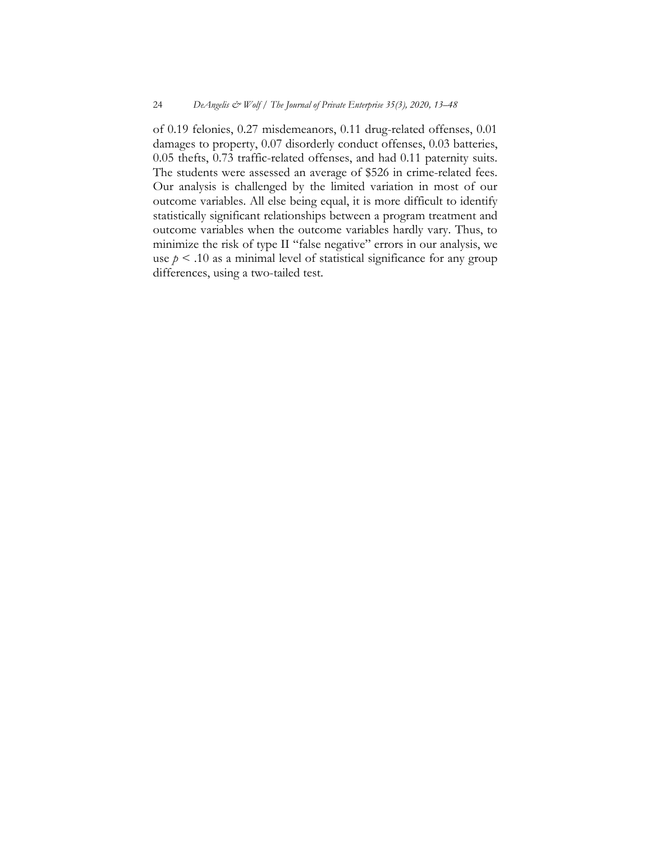of 0.19 felonies, 0.27 misdemeanors, 0.11 drug-related offenses, 0.01 damages to property, 0.07 disorderly conduct offenses, 0.03 batteries, 0.05 thefts, 0.73 traffic-related offenses, and had 0.11 paternity suits. The students were assessed an average of \$526 in crime-related fees. Our analysis is challenged by the limited variation in most of our outcome variables. All else being equal, it is more difficult to identify statistically significant relationships between a program treatment and outcome variables when the outcome variables hardly vary. Thus, to minimize the risk of type II "false negative" errors in our analysis, we use  $p \le 0.10$  as a minimal level of statistical significance for any group differences, using a two-tailed test.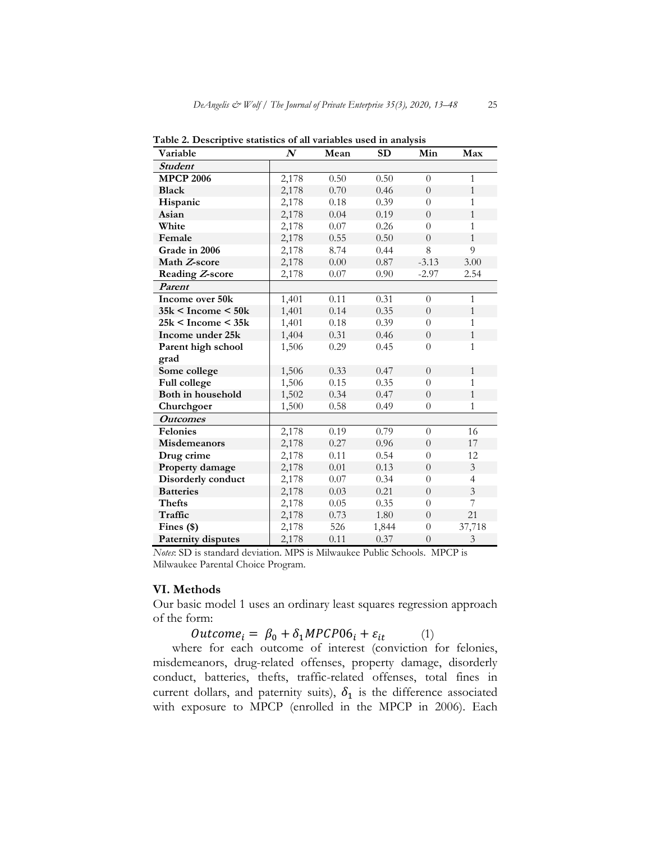| Variable                  | $\boldsymbol{N}$ | ${\bf Mean}$ | SD    | Min              | Max            |
|---------------------------|------------------|--------------|-------|------------------|----------------|
| <b>Student</b>            |                  |              |       |                  |                |
| <b>MPCP 2006</b>          | 2,178            | 0.50         | 0.50  | $\overline{0}$   | $\mathbf{1}$   |
| <b>Black</b>              | 2,178            | 0.70         | 0.46  | $\overline{0}$   | $\mathbf{1}$   |
| Hispanic                  | 2,178            | 0.18         | 0.39  | $\theta$         | 1              |
| Asian                     | 2,178            | 0.04         | 0.19  | $\theta$         | $\mathbf{1}$   |
| White                     | 2,178            | $0.07\,$     | 0.26  | $\overline{0}$   | $\mathbf{1}$   |
| Female                    | 2,178            | 0.55         | 0.50  | $\overline{0}$   | $\mathbf{1}$   |
| Grade in 2006             | 2,178            | 8.74         | 0.44  | 8                | 9              |
| Math Z-score              | 2,178            | 0.00         | 0.87  | $-3.13$          | 3.00           |
| Reading Z-score           | 2,178            | $0.07\,$     | 0.90  | $-2.97$          | 2.54           |
| Parent                    |                  |              |       |                  |                |
| Income over 50k           | 1,401            | 0.11         | 0.31  | $\theta$         | $\mathbf{1}$   |
| $35k <$ Income $<$ 50 $k$ | 1,401            | 0.14         | 0.35  | $\theta$         | $\mathbf{1}$   |
| $25k <$ Income $<$ 35 $k$ | 1,401            | 0.18         | 0.39  | $\theta$         | $\mathbf{1}$   |
| Income under 25k          | 1,404            | 0.31         | 0.46  | $\theta$         | $\mathbf{1}$   |
| Parent high school        | 1,506            | 0.29         | 0.45  | $\theta$         | $\mathbf{1}$   |
| grad                      |                  |              |       |                  |                |
| Some college              | 1,506            | 0.33         | 0.47  | $\overline{0}$   | $\mathbf{1}$   |
| Full college              | 1,506            | 0.15         | 0.35  | $\theta$         | 1              |
| Both in household         | 1,502            | 0.34         | 0.47  | $\boldsymbol{0}$ | $\mathbf{1}$   |
| Churchgoer                | 1,500            | 0.58         | 0.49  | $\theta$         | 1              |
| <b>Outcomes</b>           |                  |              |       |                  |                |
| Felonies                  | 2,178            | 0.19         | 0.79  | $\overline{0}$   | 16             |
| Misdemeanors              | 2,178            | 0.27         | 0.96  | $\overline{0}$   | 17             |
| Drug crime                | 2,178            | 0.11         | 0.54  | $\theta$         | 12             |
| Property damage           | 2,178            | $0.01\,$     | 0.13  | $\overline{0}$   | 3              |
| Disorderly conduct        | 2,178            | 0.07         | 0.34  | $\theta$         | $\overline{4}$ |
| <b>Batteries</b>          | 2,178            | 0.03         | 0.21  | $\overline{0}$   | 3              |
| <b>Thefts</b>             | 2,178            | 0.05         | 0.35  | $\overline{0}$   | 7              |
| Traffic                   | 2,178            | 0.73         | 1.80  | $\overline{0}$   | 21             |
| Fines $(*)$               | 2,178            | 526          | 1,844 | $\theta$         | 37,718         |
| Paternity disputes        | 2,178            | 0.11         | 0.37  | $\theta$         | 3              |

**Table 2. Descriptive statistics of all variables used in analysis** 

*Notes*: SD is standard deviation. MPS is Milwaukee Public Schools. MPCP is Milwaukee Parental Choice Program.

#### **VI. Methods**

Our basic model 1 uses an ordinary least squares regression approach of the form:

 $\textit{Outcome}_i = \beta_0 + \delta_1 \textit{MPCP06}_i + \varepsilon_{it}$  (1)

where for each outcome of interest (conviction for felonies, misdemeanors, drug-related offenses, property damage, disorderly conduct, batteries, thefts, traffic-related offenses, total fines in current dollars, and paternity suits),  $\delta_1$  is the difference associated with exposure to MPCP (enrolled in the MPCP in 2006). Each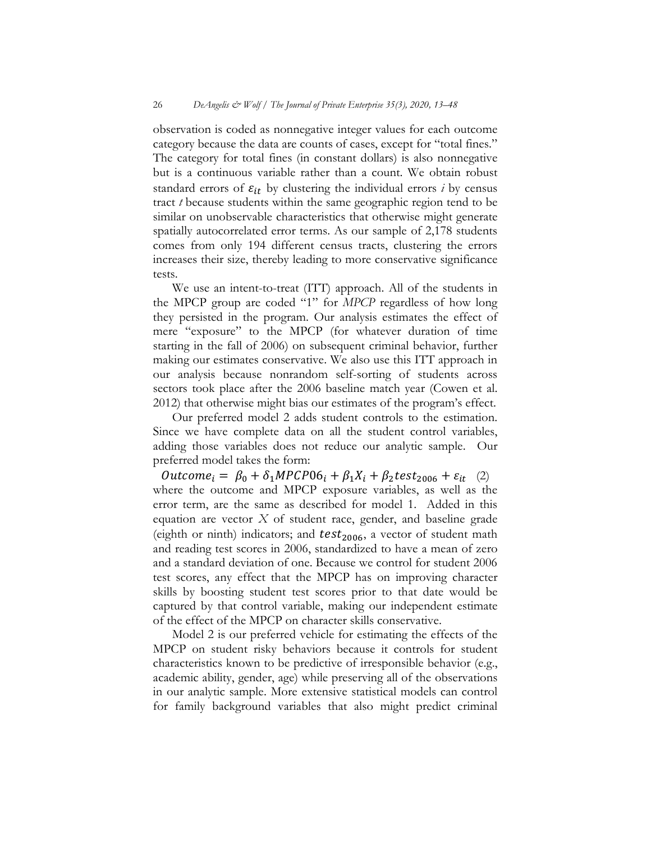observation is coded as nonnegative integer values for each outcome category because the data are counts of cases, except for "total fines." The category for total fines (in constant dollars) is also nonnegative but is a continuous variable rather than a count. We obtain robust standard errors of  $\varepsilon_{it}$  by clustering the individual errors *i* by census tract *t* because students within the same geographic region tend to be similar on unobservable characteristics that otherwise might generate spatially autocorrelated error terms. As our sample of 2,178 students comes from only 194 different census tracts, clustering the errors increases their size, thereby leading to more conservative significance tests.

We use an intent-to-treat (ITT) approach. All of the students in the MPCP group are coded "1" for *MPCP* regardless of how long they persisted in the program. Our analysis estimates the effect of mere "exposure" to the MPCP (for whatever duration of time starting in the fall of 2006) on subsequent criminal behavior, further making our estimates conservative. We also use this ITT approach in our analysis because nonrandom self-sorting of students across sectors took place after the 2006 baseline match year (Cowen et al. 2012) that otherwise might bias our estimates of the program's effect.

Our preferred model 2 adds student controls to the estimation. Since we have complete data on all the student control variables, adding those variables does not reduce our analytic sample. Our preferred model takes the form:

 $\textit{Outcome}_i = \beta_0 + \delta_1 \textit{MPCP06}_i + \beta_1 X_i + \beta_2 \textit{test}_{2006} + \varepsilon_{it}$  (2) where the outcome and MPCP exposure variables, as well as the error term, are the same as described for model 1. Added in this equation are vector *X* of student race, gender, and baseline grade (eighth or ninth) indicators; and  $test<sub>2006</sub>$ , a vector of student math and reading test scores in 2006, standardized to have a mean of zero and a standard deviation of one. Because we control for student 2006 test scores, any effect that the MPCP has on improving character skills by boosting student test scores prior to that date would be captured by that control variable, making our independent estimate of the effect of the MPCP on character skills conservative.

Model 2 is our preferred vehicle for estimating the effects of the MPCP on student risky behaviors because it controls for student characteristics known to be predictive of irresponsible behavior (e.g., academic ability, gender, age) while preserving all of the observations in our analytic sample. More extensive statistical models can control for family background variables that also might predict criminal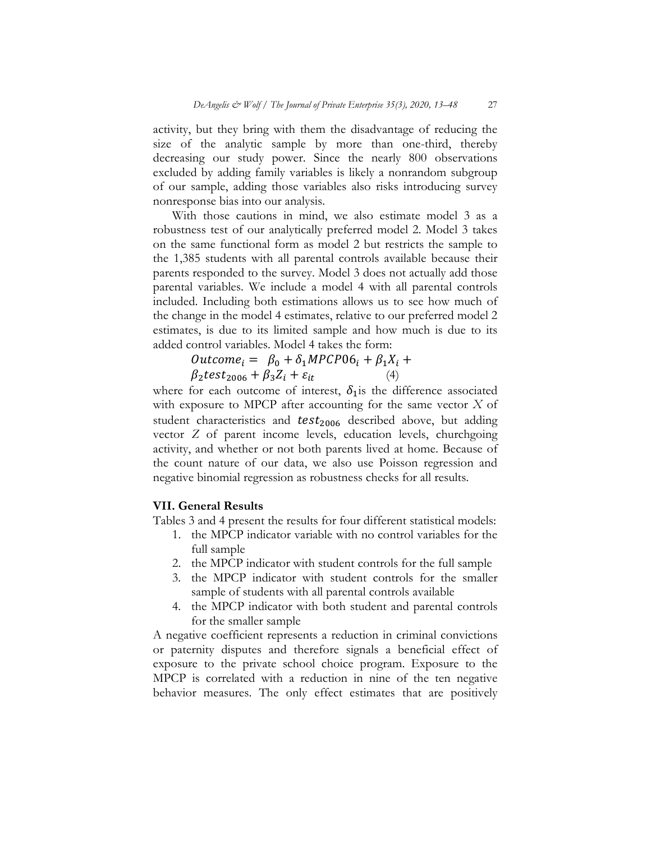activity, but they bring with them the disadvantage of reducing the size of the analytic sample by more than one-third, thereby decreasing our study power. Since the nearly 800 observations excluded by adding family variables is likely a nonrandom subgroup of our sample, adding those variables also risks introducing survey nonresponse bias into our analysis.

With those cautions in mind, we also estimate model 3 as a robustness test of our analytically preferred model 2. Model 3 takes on the same functional form as model 2 but restricts the sample to the 1,385 students with all parental controls available because their parents responded to the survey. Model 3 does not actually add those parental variables. We include a model 4 with all parental controls included. Including both estimations allows us to see how much of the change in the model 4 estimates, relative to our preferred model 2 estimates, is due to its limited sample and how much is due to its added control variables. Model 4 takes the form:

$$
Outcome_i = \beta_0 + \delta_1 MPCPO6_i + \beta_1 X_i + \beta_2 test_{2006} + \beta_3 Z_i + \varepsilon_{it} \tag{4}
$$

where for each outcome of interest,  $\delta_1$  is the difference associated with exposure to MPCP after accounting for the same vector *X* of student characteristics and  $test<sub>2006</sub>$  described above, but adding vector *Z* of parent income levels, education levels, churchgoing activity, and whether or not both parents lived at home. Because of the count nature of our data, we also use Poisson regression and negative binomial regression as robustness checks for all results.

# **VII. General Results**

Tables 3 and 4 present the results for four different statistical models:

- 1. the MPCP indicator variable with no control variables for the full sample
- 2. the MPCP indicator with student controls for the full sample
- 3. the MPCP indicator with student controls for the smaller sample of students with all parental controls available
- 4. the MPCP indicator with both student and parental controls for the smaller sample

A negative coefficient represents a reduction in criminal convictions or paternity disputes and therefore signals a beneficial effect of exposure to the private school choice program. Exposure to the MPCP is correlated with a reduction in nine of the ten negative behavior measures. The only effect estimates that are positively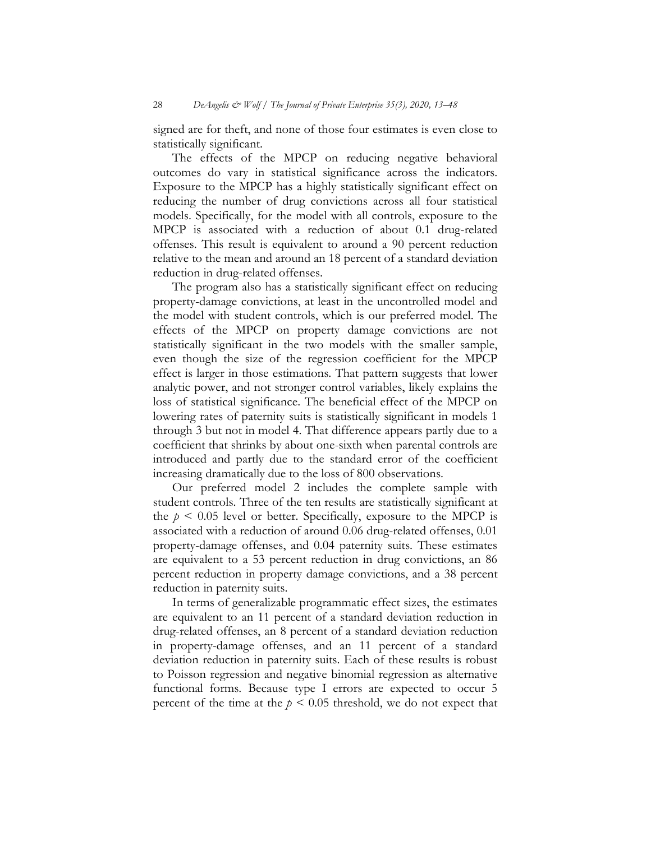signed are for theft, and none of those four estimates is even close to statistically significant.

The effects of the MPCP on reducing negative behavioral outcomes do vary in statistical significance across the indicators. Exposure to the MPCP has a highly statistically significant effect on reducing the number of drug convictions across all four statistical models. Specifically, for the model with all controls, exposure to the MPCP is associated with a reduction of about 0.1 drug-related offenses. This result is equivalent to around a 90 percent reduction relative to the mean and around an 18 percent of a standard deviation reduction in drug-related offenses.

The program also has a statistically significant effect on reducing property-damage convictions, at least in the uncontrolled model and the model with student controls, which is our preferred model. The effects of the MPCP on property damage convictions are not statistically significant in the two models with the smaller sample, even though the size of the regression coefficient for the MPCP effect is larger in those estimations. That pattern suggests that lower analytic power, and not stronger control variables, likely explains the loss of statistical significance. The beneficial effect of the MPCP on lowering rates of paternity suits is statistically significant in models 1 through 3 but not in model 4. That difference appears partly due to a coefficient that shrinks by about one-sixth when parental controls are introduced and partly due to the standard error of the coefficient increasing dramatically due to the loss of 800 observations.

Our preferred model 2 includes the complete sample with student controls. Three of the ten results are statistically significant at the  $p \leq 0.05$  level or better. Specifically, exposure to the MPCP is associated with a reduction of around 0.06 drug-related offenses, 0.01 property-damage offenses, and 0.04 paternity suits. These estimates are equivalent to a 53 percent reduction in drug convictions, an 86 percent reduction in property damage convictions, and a 38 percent reduction in paternity suits.

In terms of generalizable programmatic effect sizes, the estimates are equivalent to an 11 percent of a standard deviation reduction in drug-related offenses, an 8 percent of a standard deviation reduction in property-damage offenses, and an 11 percent of a standard deviation reduction in paternity suits. Each of these results is robust to Poisson regression and negative binomial regression as alternative functional forms. Because type I errors are expected to occur 5 percent of the time at the  $p \le 0.05$  threshold, we do not expect that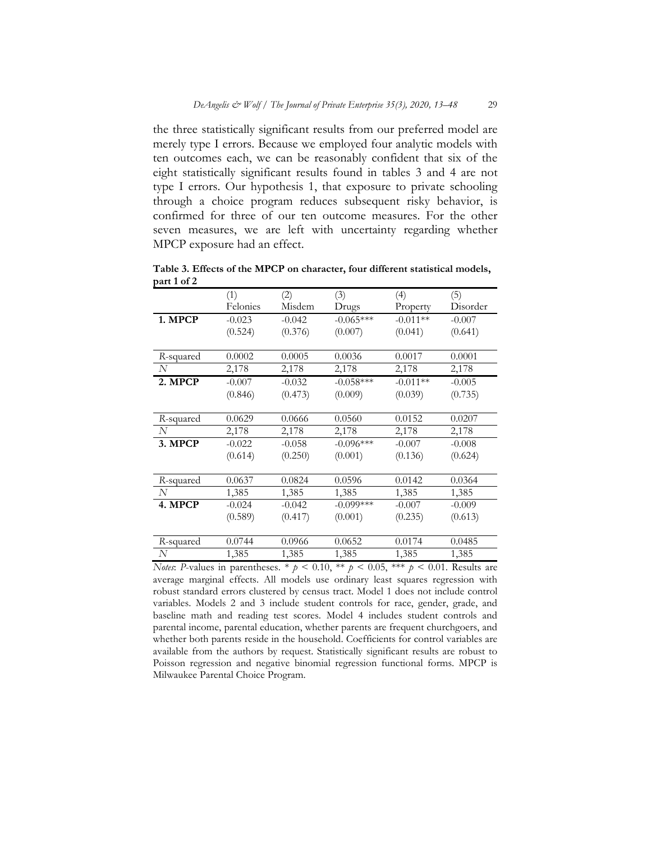the three statistically significant results from our preferred model are merely type I errors. Because we employed four analytic models with ten outcomes each, we can be reasonably confident that six of the eight statistically significant results found in tables 3 and 4 are not type I errors. Our hypothesis 1, that exposure to private schooling through a choice program reduces subsequent risky behavior, is confirmed for three of our ten outcome measures. For the other seven measures, we are left with uncertainty regarding whether MPCP exposure had an effect.

|                   | (1)      | (2)      | (3)         | (4)        | (5)      |
|-------------------|----------|----------|-------------|------------|----------|
|                   | Felonies | Misdem   | Drugs       | Property   | Disorder |
| 1. MPCP           | $-0.023$ | $-0.042$ | $-0.065***$ | $-0.011**$ | $-0.007$ |
|                   | (0.524)  | (0.376)  | (0.007)     | (0.041)    | (0.641)  |
|                   |          |          |             |            |          |
| R-squared         | 0.0002   | 0.0005   | 0.0036      | 0.0017     | 0.0001   |
| N                 | 2,178    | 2,178    | 2,178       | 2,178      | 2,178    |
| 2. MPCP           | $-0.007$ | $-0.032$ | $-0.058***$ | $-0.011**$ | $-0.005$ |
|                   | (0.846)  | (0.473)  | (0.009)     | (0.039)    | (0.735)  |
|                   |          |          |             |            |          |
| R-squared         | 0.0629   | 0.0666   | 0.0560      | 0.0152     | 0.0207   |
| N                 | 2,178    | 2,178    | 2,178       | 2,178      | 2,178    |
| 3. MPCP           | $-0.022$ | $-0.058$ | $-0.096***$ | $-0.007$   | $-0.008$ |
|                   | (0.614)  | (0.250)  | (0.001)     | (0.136)    | (0.624)  |
|                   |          |          |             |            |          |
| R-squared         | 0.0637   | 0.0824   | 0.0596      | 0.0142     | 0.0364   |
| N                 | 1,385    | 1,385    | 1,385       | 1,385      | 1,385    |
| 4. MPCP           | $-0.024$ | $-0.042$ | $-0.099***$ | $-0.007$   | $-0.009$ |
|                   | (0.589)  | (0.417)  | (0.001)     | (0.235)    | (0.613)  |
|                   |          |          |             |            |          |
| R-squared         | 0.0744   | 0.0966   | 0.0652      | 0.0174     | 0.0485   |
| $\mathcal{N}_{0}$ | 1,385    | 1,385    | 1,385       | 1,385      | 1,385    |

**Table 3. Effects of the MPCP on character, four different statistical models, part 1 of 2**

*Notes*: *P*-values in parentheses. \*  $p < 0.10$ , \*\*  $p < 0.05$ , \*\*\*  $p < 0.01$ . Results are average marginal effects. All models use ordinary least squares regression with robust standard errors clustered by census tract. Model 1 does not include control variables. Models 2 and 3 include student controls for race, gender, grade, and baseline math and reading test scores. Model 4 includes student controls and parental income, parental education, whether parents are frequent churchgoers, and whether both parents reside in the household. Coefficients for control variables are available from the authors by request. Statistically significant results are robust to Poisson regression and negative binomial regression functional forms. MPCP is Milwaukee Parental Choice Program.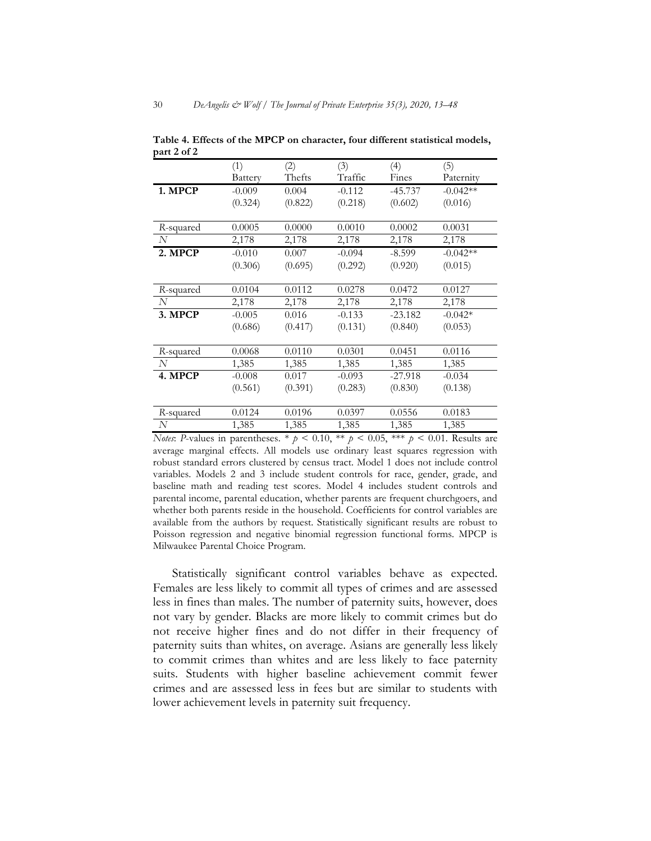|           | (1)            | (2)     | (3)      | (4)       | (5)        |
|-----------|----------------|---------|----------|-----------|------------|
|           | <b>Battery</b> | Thefts  | Traffic  | Fines     | Paternity  |
| 1. MPCP   | $-0.009$       | 0.004   | $-0.112$ | $-45.737$ | $-0.042**$ |
|           | (0.324)        | (0.822) | (0.218)  | (0.602)   | (0.016)    |
|           |                |         |          |           |            |
| R-squared | 0.0005         | 0.0000  | 0.0010   | 0.0002    | 0.0031     |
| N         | 2,178          | 2,178   | 2,178    | 2,178     | 2,178      |
| 2. MPCP   | $-0.010$       | 0.007   | $-0.094$ | $-8.599$  | $-0.042**$ |
|           | (0.306)        | (0.695) | (0.292)  | (0.920)   | (0.015)    |
|           |                |         |          |           |            |
| R-squared | 0.0104         | 0.0112  | 0.0278   | 0.0472    | 0.0127     |
| N         | 2,178          | 2,178   | 2,178    | 2,178     | 2,178      |
| 3. MPCP   | $-0.005$       | 0.016   | $-0.133$ | $-23.182$ | $-0.042*$  |
|           | (0.686)        | (0.417) | (0.131)  | (0.840)   | (0.053)    |
|           |                |         |          |           |            |
| R-squared | 0.0068         | 0.0110  | 0.0301   | 0.0451    | 0.0116     |
| N         | 1,385          | 1,385   | 1,385    | 1,385     | 1,385      |
| 4. MPCP   | $-0.008$       | 0.017   | $-0.093$ | $-27.918$ | $-0.034$   |
|           | (0.561)        | (0.391) | (0.283)  | (0.830)   | (0.138)    |
|           |                |         |          |           |            |
| R-squared | 0.0124         | 0.0196  | 0.0397   | 0.0556    | 0.0183     |
| N         | 1,385          | 1,385   | 1,385    | 1,385     | 1,385      |

**Table 4. Effects of the MPCP on character, four different statistical models, part 2 of 2**

*Notes*: *P*-values in parentheses. \*  $p < 0.10$ , \*\*  $p < 0.05$ , \*\*\*  $p < 0.01$ . Results are average marginal effects. All models use ordinary least squares regression with robust standard errors clustered by census tract. Model 1 does not include control variables. Models 2 and 3 include student controls for race, gender, grade, and baseline math and reading test scores. Model 4 includes student controls and parental income, parental education, whether parents are frequent churchgoers, and whether both parents reside in the household. Coefficients for control variables are available from the authors by request. Statistically significant results are robust to Poisson regression and negative binomial regression functional forms. MPCP is Milwaukee Parental Choice Program.

Statistically significant control variables behave as expected. Females are less likely to commit all types of crimes and are assessed less in fines than males. The number of paternity suits, however, does not vary by gender. Blacks are more likely to commit crimes but do not receive higher fines and do not differ in their frequency of paternity suits than whites, on average. Asians are generally less likely to commit crimes than whites and are less likely to face paternity suits. Students with higher baseline achievement commit fewer crimes and are assessed less in fees but are similar to students with lower achievement levels in paternity suit frequency.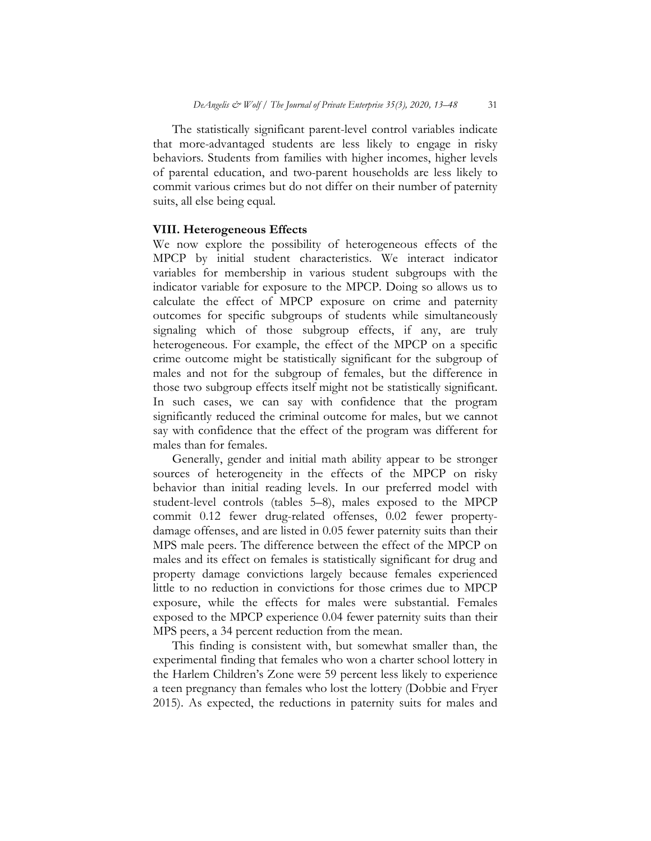The statistically significant parent-level control variables indicate that more-advantaged students are less likely to engage in risky behaviors. Students from families with higher incomes, higher levels of parental education, and two-parent households are less likely to commit various crimes but do not differ on their number of paternity suits, all else being equal.

## **VIII. Heterogeneous Effects**

We now explore the possibility of heterogeneous effects of the MPCP by initial student characteristics. We interact indicator variables for membership in various student subgroups with the indicator variable for exposure to the MPCP. Doing so allows us to calculate the effect of MPCP exposure on crime and paternity outcomes for specific subgroups of students while simultaneously signaling which of those subgroup effects, if any, are truly heterogeneous. For example, the effect of the MPCP on a specific crime outcome might be statistically significant for the subgroup of males and not for the subgroup of females, but the difference in those two subgroup effects itself might not be statistically significant. In such cases, we can say with confidence that the program significantly reduced the criminal outcome for males, but we cannot say with confidence that the effect of the program was different for males than for females.

Generally, gender and initial math ability appear to be stronger sources of heterogeneity in the effects of the MPCP on risky behavior than initial reading levels. In our preferred model with student-level controls (tables 5–8), males exposed to the MPCP commit 0.12 fewer drug-related offenses, 0.02 fewer propertydamage offenses, and are listed in 0.05 fewer paternity suits than their MPS male peers. The difference between the effect of the MPCP on males and its effect on females is statistically significant for drug and property damage convictions largely because females experienced little to no reduction in convictions for those crimes due to MPCP exposure, while the effects for males were substantial. Females exposed to the MPCP experience 0.04 fewer paternity suits than their MPS peers, a 34 percent reduction from the mean.

This finding is consistent with, but somewhat smaller than, the experimental finding that females who won a charter school lottery in the Harlem Children's Zone were 59 percent less likely to experience a teen pregnancy than females who lost the lottery (Dobbie and Fryer 2015). As expected, the reductions in paternity suits for males and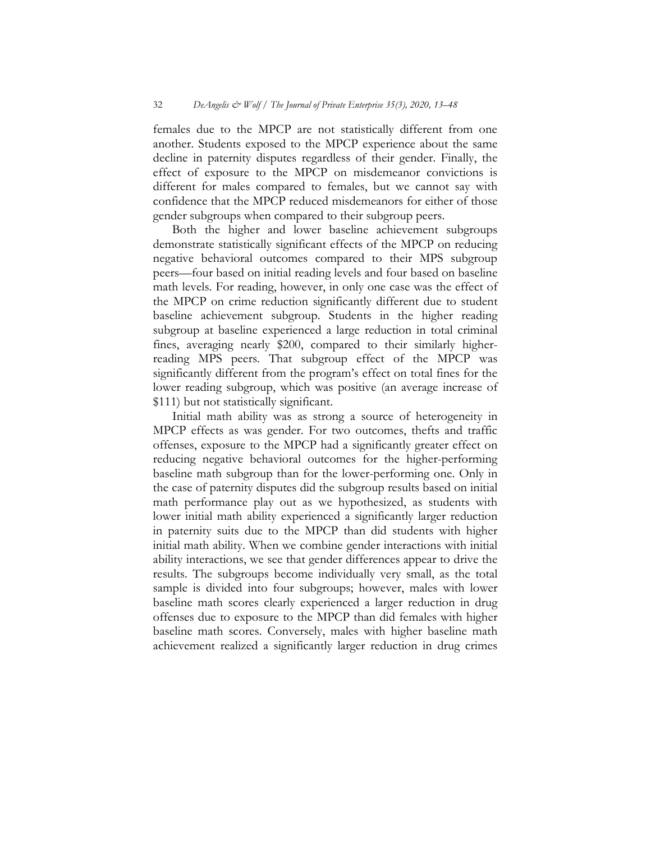females due to the MPCP are not statistically different from one another. Students exposed to the MPCP experience about the same decline in paternity disputes regardless of their gender. Finally, the effect of exposure to the MPCP on misdemeanor convictions is different for males compared to females, but we cannot say with confidence that the MPCP reduced misdemeanors for either of those gender subgroups when compared to their subgroup peers.

Both the higher and lower baseline achievement subgroups demonstrate statistically significant effects of the MPCP on reducing negative behavioral outcomes compared to their MPS subgroup peers—four based on initial reading levels and four based on baseline math levels. For reading, however, in only one case was the effect of the MPCP on crime reduction significantly different due to student baseline achievement subgroup. Students in the higher reading subgroup at baseline experienced a large reduction in total criminal fines, averaging nearly \$200, compared to their similarly higherreading MPS peers. That subgroup effect of the MPCP was significantly different from the program's effect on total fines for the lower reading subgroup, which was positive (an average increase of \$111) but not statistically significant.

Initial math ability was as strong a source of heterogeneity in MPCP effects as was gender. For two outcomes, thefts and traffic offenses, exposure to the MPCP had a significantly greater effect on reducing negative behavioral outcomes for the higher-performing baseline math subgroup than for the lower-performing one. Only in the case of paternity disputes did the subgroup results based on initial math performance play out as we hypothesized, as students with lower initial math ability experienced a significantly larger reduction in paternity suits due to the MPCP than did students with higher initial math ability. When we combine gender interactions with initial ability interactions, we see that gender differences appear to drive the results. The subgroups become individually very small, as the total sample is divided into four subgroups; however, males with lower baseline math scores clearly experienced a larger reduction in drug offenses due to exposure to the MPCP than did females with higher baseline math scores. Conversely, males with higher baseline math achievement realized a significantly larger reduction in drug crimes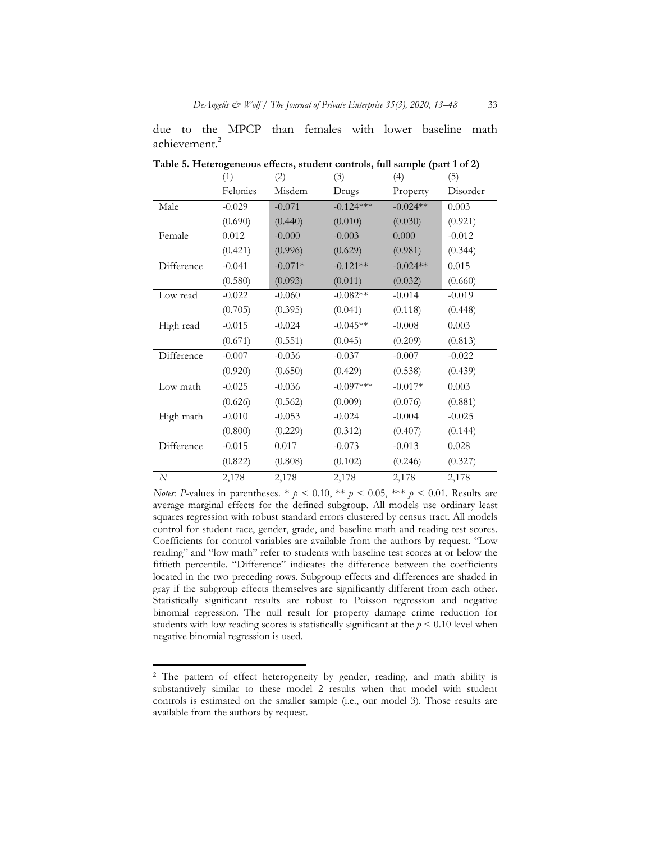| Table 5. Heterogeneous effects, student controls, full sample (part 1 of 2) |          |           |             |            |          |  |
|-----------------------------------------------------------------------------|----------|-----------|-------------|------------|----------|--|
|                                                                             | (1)      | (2)       | (3)         | (4)        | (5)      |  |
|                                                                             | Felonies | Misdem    | Drugs       | Property   | Disorder |  |
| Male                                                                        | $-0.029$ | $-0.071$  | $-0.124***$ | $-0.024**$ | 0.003    |  |
|                                                                             | (0.690)  | (0.440)   | (0.010)     | (0.030)    | (0.921)  |  |
| Female                                                                      | 0.012    | $-0.000$  | $-0.003$    | 0.000      | $-0.012$ |  |
|                                                                             | (0.421)  | (0.996)   | (0.629)     | (0.981)    | (0.344)  |  |
| Difference                                                                  | $-0.041$ | $-0.071*$ | $-0.121**$  | $-0.024**$ | 0.015    |  |
|                                                                             | (0.580)  | (0.093)   | (0.011)     | (0.032)    | (0.660)  |  |
| Low read                                                                    | $-0.022$ | $-0.060$  | $-0.082**$  | $-0.014$   | $-0.019$ |  |
|                                                                             | (0.705)  | (0.395)   | (0.041)     | (0.118)    | (0.448)  |  |
| High read                                                                   | $-0.015$ | $-0.024$  | $-0.045**$  | $-0.008$   | 0.003    |  |
|                                                                             | (0.671)  | (0.551)   | (0.045)     | (0.209)    | (0.813)  |  |
| Difference                                                                  | $-0.007$ | $-0.036$  | $-0.037$    | $-0.007$   | $-0.022$ |  |
|                                                                             | (0.920)  | (0.650)   | (0.429)     | (0.538)    | (0.439)  |  |
| Low math                                                                    | $-0.025$ | $-0.036$  | $-0.097***$ | $-0.017*$  | 0.003    |  |
|                                                                             | (0.626)  | (0.562)   | (0.009)     | (0.076)    | (0.881)  |  |
| High math                                                                   | $-0.010$ | $-0.053$  | $-0.024$    | $-0.004$   | $-0.025$ |  |
|                                                                             | (0.800)  | (0.229)   | (0.312)     | (0.407)    | (0.144)  |  |
| Difference                                                                  | $-0.015$ | 0.017     | $-0.073$    | $-0.013$   | 0.028    |  |
|                                                                             | (0.822)  | (0.808)   | (0.102)     | (0.246)    | (0.327)  |  |
| N                                                                           | 2,178    | 2,178     | 2,178       | 2,178      | 2,178    |  |

due to the MPCP than females with lower baseline math  $\pi$ achievement $^2$ 

*Notes*: *P*-values in parentheses. \*  $p < 0.10$ , \*\*  $p < 0.05$ , \*\*\*  $p < 0.01$ . Results are average marginal effects for the defined subgroup. All models use ordinary least squares regression with robust standard errors clustered by census tract. All models control for student race, gender, grade, and baseline math and reading test scores. Coefficients for control variables are available from the authors by request. "Low reading" and "low math" refer to students with baseline test scores at or below the fiftieth percentile. "Difference" indicates the difference between the coefficients located in the two preceding rows. Subgroup effects and differences are shaded in gray if the subgroup effects themselves are significantly different from each other. Statistically significant results are robust to Poisson regression and negative binomial regression. The null result for property damage crime reduction for students with low reading scores is statistically significant at the  $p \leq 0.10$  level when negative binomial regression is used.

l

<sup>&</sup>lt;sup>2</sup> The pattern of effect heterogeneity by gender, reading, and math ability is substantively similar to these model 2 results when that model with student controls is estimated on the smaller sample (i.e., our model 3). Those results are available from the authors by request.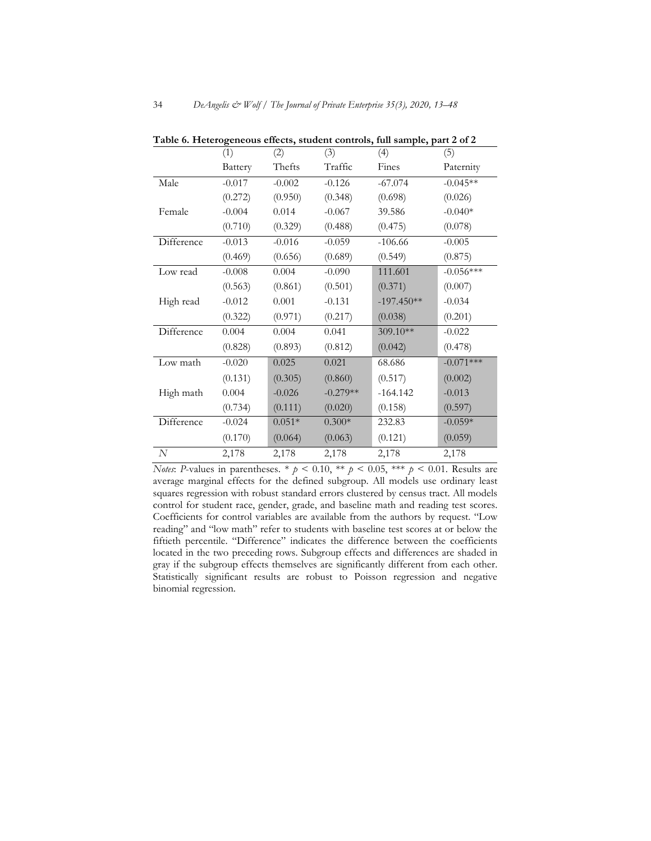|            | (1)      | (2)      | (3)        | (4)          | (5)         |
|------------|----------|----------|------------|--------------|-------------|
|            | Battery  | Thefts   | Traffic    | Fines        | Paternity   |
| Male       | $-0.017$ | $-0.002$ | $-0.126$   | $-67.074$    | $-0.045**$  |
|            | (0.272)  | (0.950)  | (0.348)    | (0.698)      | (0.026)     |
| Female     | $-0.004$ | 0.014    | $-0.067$   | 39.586       | $-0.040*$   |
|            | (0.710)  | (0.329)  | (0.488)    | (0.475)      | (0.078)     |
| Difference | $-0.013$ | $-0.016$ | $-0.059$   | $-106.66$    | $-0.005$    |
|            | (0.469)  | (0.656)  | (0.689)    | (0.549)      | (0.875)     |
| Low read   | $-0.008$ | 0.004    | $-0.090$   | 111.601      | $-0.056***$ |
|            | (0.563)  | (0.861)  | (0.501)    | (0.371)      | (0.007)     |
| High read  | $-0.012$ | 0.001    | $-0.131$   | $-197.450**$ | $-0.034$    |
|            | (0.322)  | (0.971)  | (0.217)    | (0.038)      | (0.201)     |
| Difference | 0.004    | 0.004    | 0.041      | 309.10**     | $-0.022$    |
|            | (0.828)  | (0.893)  | (0.812)    | (0.042)      | (0.478)     |
| Low math   | $-0.020$ | 0.025    | 0.021      | 68.686       | $-0.071***$ |
|            | (0.131)  | (0.305)  | (0.860)    | (0.517)      | (0.002)     |
| High math  | 0.004    | $-0.026$ | $-0.279**$ | $-164.142$   | $-0.013$    |
|            | (0.734)  | (0.111)  | (0.020)    | (0.158)      | (0.597)     |
| Difference | $-0.024$ | $0.051*$ | $0.300*$   | 232.83       | $-0.059*$   |
|            | (0.170)  | (0.064)  | (0.063)    | (0.121)      | (0.059)     |
| N          | 2,178    | 2,178    | 2,178      | 2,178        | 2,178       |

**Table 6. Heterogeneous effects, student controls, full sample, part 2 of 2**

*Notes*: *P*-values in parentheses. \*  $p < 0.10$ , \*\*  $p < 0.05$ , \*\*\*  $p < 0.01$ . Results are average marginal effects for the defined subgroup. All models use ordinary least squares regression with robust standard errors clustered by census tract. All models control for student race, gender, grade, and baseline math and reading test scores. Coefficients for control variables are available from the authors by request. "Low reading" and "low math" refer to students with baseline test scores at or below the fiftieth percentile. "Difference" indicates the difference between the coefficients located in the two preceding rows. Subgroup effects and differences are shaded in gray if the subgroup effects themselves are significantly different from each other. Statistically significant results are robust to Poisson regression and negative binomial regression.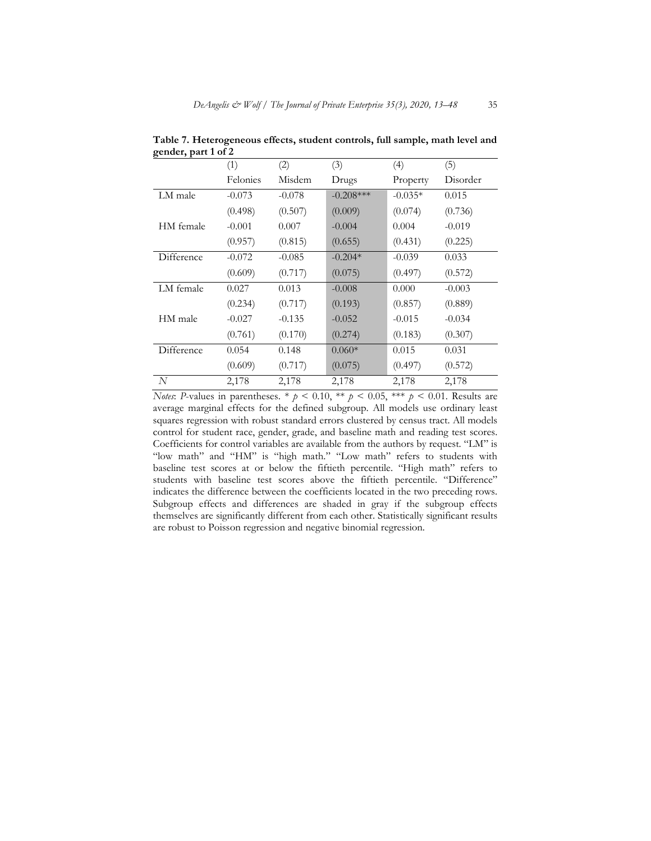| $\mathbf{e}$ , $\mathbf{r}$ | (1)      | (2)      | (3)         | (4)       | (5)      |
|-----------------------------|----------|----------|-------------|-----------|----------|
|                             | Felonies | Misdem   | Drugs       | Property  | Disorder |
| LM male                     | $-0.073$ | $-0.078$ | $-0.208***$ | $-0.035*$ | 0.015    |
|                             | (0.498)  | (0.507)  | (0.009)     | (0.074)   | (0.736)  |
| HM female                   | $-0.001$ | 0.007    | $-0.004$    | 0.004     | $-0.019$ |
|                             | (0.957)  | (0.815)  | (0.655)     | (0.431)   | (0.225)  |
| Difference                  | $-0.072$ | $-0.085$ | $-0.204*$   | $-0.039$  | 0.033    |
|                             | (0.609)  | (0.717)  | (0.075)     | (0.497)   | (0.572)  |
| LM female                   | 0.027    | 0.013    | $-0.008$    | 0.000     | $-0.003$ |
|                             | (0.234)  | (0.717)  | (0.193)     | (0.857)   | (0.889)  |
| HM male                     | $-0.027$ | $-0.135$ | $-0.052$    | $-0.015$  | $-0.034$ |
|                             | (0.761)  | (0.170)  | (0.274)     | (0.183)   | (0.307)  |
| Difference                  | 0.054    | 0.148    | $0.060*$    | 0.015     | 0.031    |
|                             | (0.609)  | (0.717)  | (0.075)     | (0.497)   | (0.572)  |
| N                           | 2,178    | 2,178    | 2,178       | 2,178     | 2,178    |

**Table 7. Heterogeneous effects, student controls, full sample, math level and gender, part 1 of 2** 

*Notes*: *P*-values in parentheses. \*  $p < 0.10$ , \*\*  $p < 0.05$ , \*\*\*  $p < 0.01$ . Results are average marginal effects for the defined subgroup. All models use ordinary least squares regression with robust standard errors clustered by census tract. All models control for student race, gender, grade, and baseline math and reading test scores. Coefficients for control variables are available from the authors by request. "LM" is "low math" and "HM" is "high math." "Low math" refers to students with baseline test scores at or below the fiftieth percentile. "High math" refers to students with baseline test scores above the fiftieth percentile. "Difference" indicates the difference between the coefficients located in the two preceding rows. Subgroup effects and differences are shaded in gray if the subgroup effects themselves are significantly different from each other. Statistically significant results are robust to Poisson regression and negative binomial regression.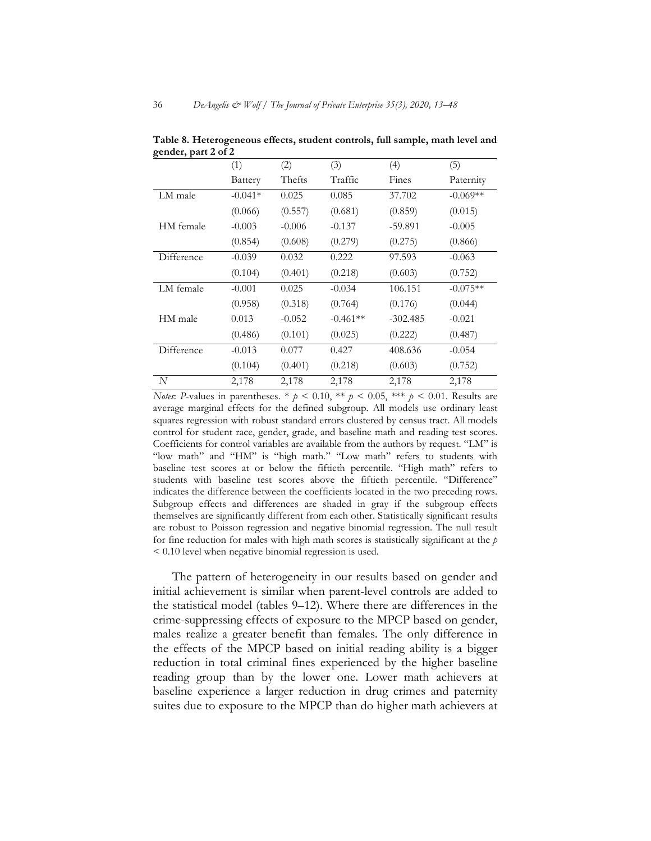| 0<br>. .   | (1)       | (2)      | (3)        | (4)        | (5)        |
|------------|-----------|----------|------------|------------|------------|
|            | Battery   | Thefts   | Traffic    | Fines      | Paternity  |
| LM male    | $-0.041*$ | 0.025    | 0.085      | 37.702     | $-0.069**$ |
|            | (0.066)   | (0.557)  | (0.681)    | (0.859)    | (0.015)    |
| HM female  | $-0.003$  | $-0.006$ | $-0.137$   | $-59.891$  | $-0.005$   |
|            | (0.854)   | (0.608)  | (0.279)    | (0.275)    | (0.866)    |
| Difference | $-0.039$  | 0.032    | 0.222      | 97.593     | $-0.063$   |
|            | (0.104)   | (0.401)  | (0.218)    | (0.603)    | (0.752)    |
| LM female  | $-0.001$  | 0.025    | $-0.034$   | 106.151    | $-0.075**$ |
|            | (0.958)   | (0.318)  | (0.764)    | (0.176)    | (0.044)    |
| HM male    | 0.013     | $-0.052$ | $-0.461**$ | $-302.485$ | $-0.021$   |
|            | (0.486)   | (0.101)  | (0.025)    | (0.222)    | (0.487)    |
| Difference | $-0.013$  | 0.077    | 0.427      | 408.636    | $-0.054$   |
|            | (0.104)   | (0.401)  | (0.218)    | (0.603)    | (0.752)    |
| N          | 2,178     | 2,178    | 2,178      | 2,178      | 2,178      |

**Table 8. Heterogeneous effects, student controls, full sample, math level and gender, part 2 of 2** 

*Notes*: *P*-values in parentheses. \*  $p < 0.10$ , \*\*  $p < 0.05$ , \*\*\*  $p < 0.01$ . Results are average marginal effects for the defined subgroup. All models use ordinary least squares regression with robust standard errors clustered by census tract. All models control for student race, gender, grade, and baseline math and reading test scores. Coefficients for control variables are available from the authors by request. "LM" is "low math" and "HM" is "high math." "Low math" refers to students with baseline test scores at or below the fiftieth percentile. "High math" refers to students with baseline test scores above the fiftieth percentile. "Difference" indicates the difference between the coefficients located in the two preceding rows. Subgroup effects and differences are shaded in gray if the subgroup effects themselves are significantly different from each other. Statistically significant results are robust to Poisson regression and negative binomial regression. The null result for fine reduction for males with high math scores is statistically significant at the *p* < 0.10 level when negative binomial regression is used.

The pattern of heterogeneity in our results based on gender and initial achievement is similar when parent-level controls are added to the statistical model (tables 9–12). Where there are differences in the crime-suppressing effects of exposure to the MPCP based on gender, males realize a greater benefit than females. The only difference in the effects of the MPCP based on initial reading ability is a bigger reduction in total criminal fines experienced by the higher baseline reading group than by the lower one. Lower math achievers at baseline experience a larger reduction in drug crimes and paternity suites due to exposure to the MPCP than do higher math achievers at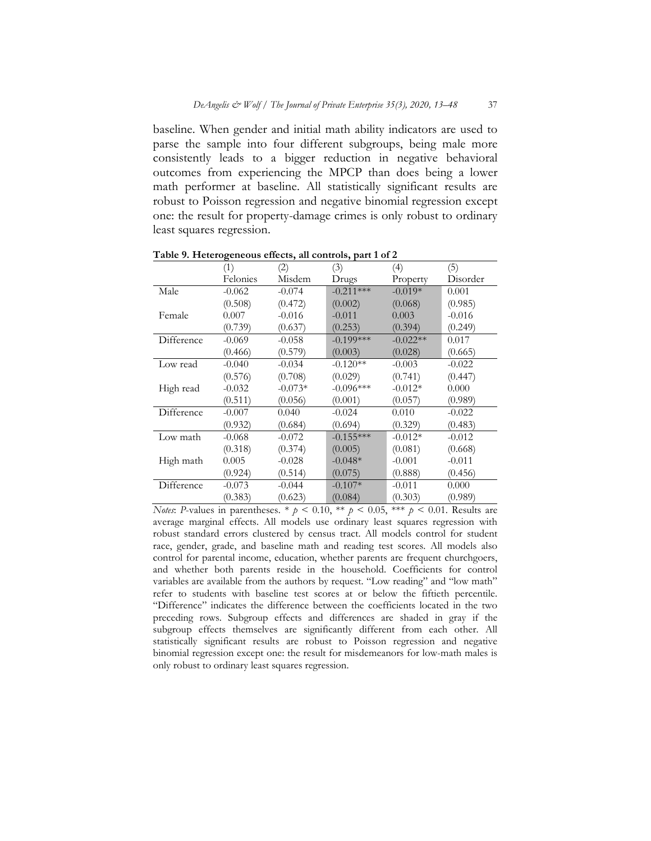baseline. When gender and initial math ability indicators are used to parse the sample into four different subgroups, being male more consistently leads to a bigger reduction in negative behavioral outcomes from experiencing the MPCP than does being a lower math performer at baseline. All statistically significant results are robust to Poisson regression and negative binomial regression except one: the result for property-damage crimes is only robust to ordinary least squares regression.

|            | ਣ<br>(1) | (2)       | - <i>,</i> r - -<br>(3) | (4)        | (5)      |
|------------|----------|-----------|-------------------------|------------|----------|
|            | Felonies | Misdem    | Drugs                   | Property   | Disorder |
| Male       | $-0.062$ | $-0.074$  | $-0.211***$             | $-0.019*$  | 0.001    |
|            | (0.508)  | (0.472)   | (0.002)                 | (0.068)    | (0.985)  |
| Female     | 0.007    | $-0.016$  | $-0.011$                | 0.003      | $-0.016$ |
|            | (0.739)  | (0.637)   | (0.253)                 | (0.394)    | (0.249)  |
| Difference | $-0.069$ | $-0.058$  | $-0.199***$             | $-0.022**$ | 0.017    |
|            | (0.466)  | (0.579)   | (0.003)                 | (0.028)    | (0.665)  |
| Low read   | $-0.040$ | $-0.034$  | $-0.120**$              | $-0.003$   | $-0.022$ |
|            | (0.576)  | (0.708)   | (0.029)                 | (0.741)    | (0.447)  |
| High read  | $-0.032$ | $-0.073*$ | $-0.096***$             | $-0.012*$  | 0.000    |
|            | (0.511)  | (0.056)   | (0.001)                 | (0.057)    | (0.989)  |
| Difference | $-0.007$ | 0.040     | $-0.024$                | 0.010      | $-0.022$ |
|            | (0.932)  | (0.684)   | (0.694)                 | (0.329)    | (0.483)  |
| Low math   | $-0.068$ | $-0.072$  | $-0.155***$             | $-0.012*$  | $-0.012$ |
|            | (0.318)  | (0.374)   | (0.005)                 | (0.081)    | (0.668)  |
| High math  | 0.005    | $-0.028$  | $-0.048*$               | $-0.001$   | $-0.011$ |
|            | (0.924)  | (0.514)   | (0.075)                 | (0.888)    | (0.456)  |
| Difference | $-0.073$ | $-0.044$  | $-0.107*$               | $-0.011$   | 0.000    |
|            | (0.383)  | (0.623)   | (0.084)                 | (0.303)    | (0.989)  |

**Table 9. Heterogeneous effects, all controls, part 1 of 2**

*Notes*: *P*-values in parentheses. \*  $p < 0.10$ , \*\*  $p < 0.05$ , \*\*\*  $p < 0.01$ . Results are average marginal effects. All models use ordinary least squares regression with robust standard errors clustered by census tract. All models control for student race, gender, grade, and baseline math and reading test scores. All models also control for parental income, education, whether parents are frequent churchgoers, and whether both parents reside in the household. Coefficients for control variables are available from the authors by request. "Low reading" and "low math" refer to students with baseline test scores at or below the fiftieth percentile. "Difference" indicates the difference between the coefficients located in the two preceding rows. Subgroup effects and differences are shaded in gray if the subgroup effects themselves are significantly different from each other. All statistically significant results are robust to Poisson regression and negative binomial regression except one: the result for misdemeanors for low-math males is only robust to ordinary least squares regression.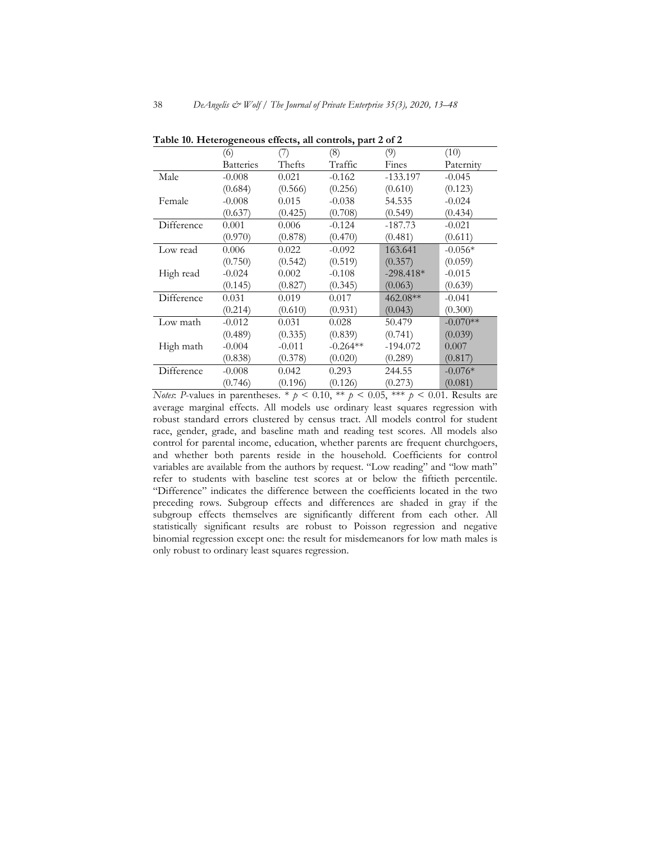|            | (6)              | (7)      | (8)        | (9)         | (10)       |
|------------|------------------|----------|------------|-------------|------------|
|            | <b>Batteries</b> | Thefts   | Traffic    | Fines       | Paternity  |
| Male       | $-0.008$         | 0.021    | $-0.162$   | $-133.197$  | $-0.045$   |
|            | (0.684)          | (0.566)  | (0.256)    | (0.610)     | (0.123)    |
| Female     | $-0.008$         | 0.015    | $-0.038$   | 54.535      | $-0.024$   |
|            | (0.637)          | (0.425)  | (0.708)    | (0.549)     | (0.434)    |
| Difference | 0.001            | 0.006    | $-0.124$   | $-187.73$   | $-0.021$   |
|            | (0.970)          | (0.878)  | (0.470)    | (0.481)     | (0.611)    |
| Low read   | 0.006            | 0.022    | $-0.092$   | 163.641     | $-0.056*$  |
|            | (0.750)          | (0.542)  | (0.519)    | (0.357)     | (0.059)    |
| High read  | $-0.024$         | 0.002    | $-0.108$   | $-298.418*$ | $-0.015$   |
|            | (0.145)          | (0.827)  | (0.345)    | (0.063)     | (0.639)    |
| Difference | 0.031            | 0.019    | 0.017      | $462.08**$  | $-0.041$   |
|            | (0.214)          | (0.610)  | (0.931)    | (0.043)     | (0.300)    |
| Low math   | $-0.012$         | 0.031    | 0.028      | 50.479      | $-0.070**$ |
|            | (0.489)          | (0.335)  | (0.839)    | (0.741)     | (0.039)    |
| High math  | $-0.004$         | $-0.011$ | $-0.264**$ | $-194.072$  | 0.007      |
|            | (0.838)          | (0.378)  | (0.020)    | (0.289)     | (0.817)    |
| Difference | $-0.008$         | 0.042    | 0.293      | 244.55      | $-0.076*$  |
|            | (0.746)          | (0.196)  | (0.126)    | (0.273)     | (0.081)    |
|            |                  |          |            |             |            |

**Table 10. Heterogeneous effects, all controls, part 2 of 2**

*Notes*: *P*-values in parentheses. \*  $p < 0.10$ , \*\*  $p < 0.05$ , \*\*\*  $p < 0.01$ . Results are average marginal effects. All models use ordinary least squares regression with robust standard errors clustered by census tract. All models control for student race, gender, grade, and baseline math and reading test scores. All models also control for parental income, education, whether parents are frequent churchgoers, and whether both parents reside in the household. Coefficients for control variables are available from the authors by request. "Low reading" and "low math" refer to students with baseline test scores at or below the fiftieth percentile. "Difference" indicates the difference between the coefficients located in the two preceding rows. Subgroup effects and differences are shaded in gray if the subgroup effects themselves are significantly different from each other. All statistically significant results are robust to Poisson regression and negative binomial regression except one: the result for misdemeanors for low math males is only robust to ordinary least squares regression.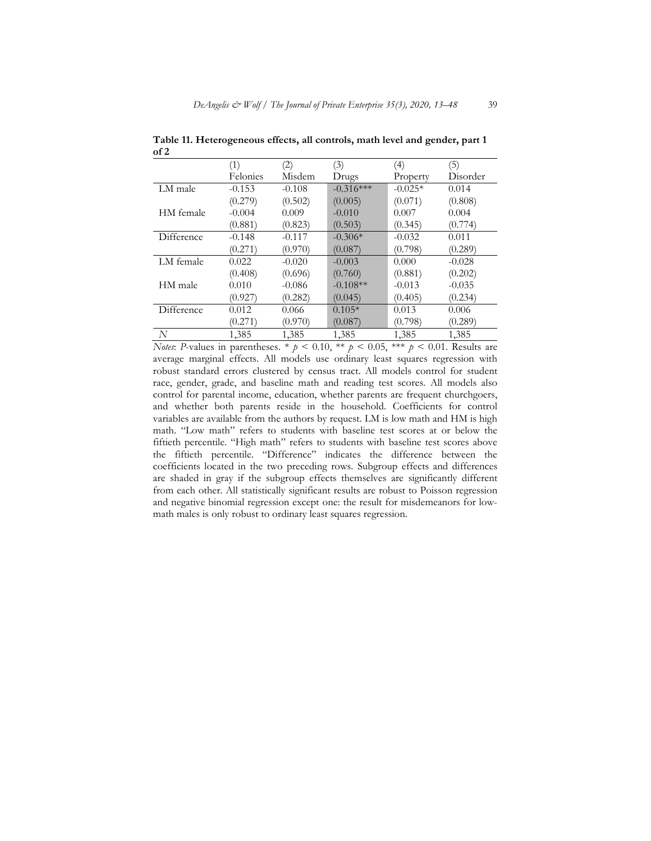|            | (1)      | (2)      | (3)         | (4)       | (5)      |
|------------|----------|----------|-------------|-----------|----------|
|            | Felonies | Misdem   | Drugs       | Property  | Disorder |
| LM male    | $-0.153$ | $-0.108$ | $-0.316***$ | $-0.025*$ | 0.014    |
|            | (0.279)  | (0.502)  | (0.005)     | (0.071)   | (0.808)  |
| HM female  | $-0.004$ | 0.009    | $-0.010$    | 0.007     | 0.004    |
|            | (0.881)  | (0.823)  | (0.503)     | (0.345)   | (0.774)  |
| Difference | $-0.148$ | $-0.117$ | $-0.306*$   | $-0.032$  | 0.011    |
|            | (0.271)  | (0.970)  | (0.087)     | (0.798)   | (0.289)  |
| LM female  | 0.022    | $-0.020$ | $-0.003$    | 0.000     | $-0.028$ |
|            | (0.408)  | (0.696)  | (0.760)     | (0.881)   | (0.202)  |
| HM male    | 0.010    | $-0.086$ | $-0.108**$  | $-0.013$  | $-0.035$ |
|            | (0.927)  | (0.282)  | (0.045)     | (0.405)   | (0.234)  |
| Difference | 0.012    | 0.066    | $0.105*$    | 0.013     | 0.006    |
|            | (0.271)  | (0.970)  | (0.087)     | (0.798)   | (0.289)  |
| N          | 1,385    | 1,385    | 1,385       | 1,385     | 1,385    |

**Table 11. Heterogeneous effects, all controls, math level and gender, part 1 of 2**

*Notes*: *P*-values in parentheses. \*  $p < 0.10$ , \*\*  $p < 0.05$ , \*\*\*  $p < 0.01$ . Results are average marginal effects. All models use ordinary least squares regression with robust standard errors clustered by census tract. All models control for student race, gender, grade, and baseline math and reading test scores. All models also control for parental income, education, whether parents are frequent churchgoers, and whether both parents reside in the household. Coefficients for control variables are available from the authors by request. LM is low math and HM is high math. "Low math" refers to students with baseline test scores at or below the fiftieth percentile. "High math" refers to students with baseline test scores above the fiftieth percentile. "Difference" indicates the difference between the coefficients located in the two preceding rows. Subgroup effects and differences are shaded in gray if the subgroup effects themselves are significantly different from each other. All statistically significant results are robust to Poisson regression and negative binomial regression except one: the result for misdemeanors for lowmath males is only robust to ordinary least squares regression.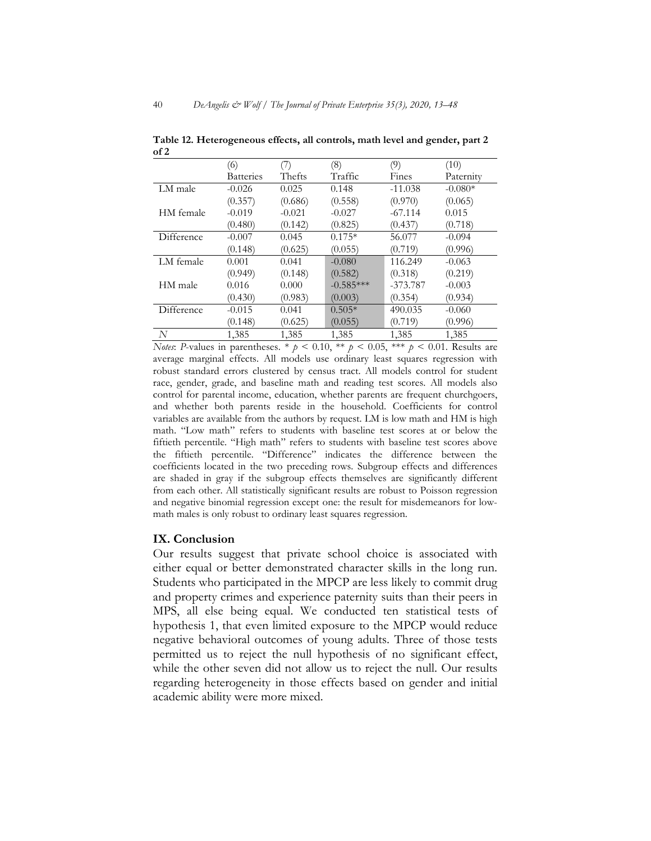|            | (6)              | (7)      | (8)         | (9)        | (10)      |
|------------|------------------|----------|-------------|------------|-----------|
|            | <b>Batteries</b> | Thefts   | Traffic     | Fines      | Paternity |
| LM male    | $-0.026$         | 0.025    | 0.148       | $-11.038$  | $-0.080*$ |
|            | (0.357)          | (0.686)  | (0.558)     | (0.970)    | (0.065)   |
| HM female  | $-0.019$         | $-0.021$ | $-0.027$    | $-67.114$  | 0.015     |
|            | (0.480)          | (0.142)  | (0.825)     | (0.437)    | (0.718)   |
| Difference | $-0.007$         | 0.045    | $0.175*$    | 56.077     | $-0.094$  |
|            | (0.148)          | (0.625)  | (0.055)     | (0.719)    | (0.996)   |
| LM female  | 0.001            | 0.041    | $-0.080$    | 116.249    | $-0.063$  |
|            | (0.949)          | (0.148)  | (0.582)     | (0.318)    | (0.219)   |
| HM male    | 0.016            | 0.000    | $-0.585***$ | $-373.787$ | $-0.003$  |
|            | (0.430)          | (0.983)  | (0.003)     | (0.354)    | (0.934)   |
| Difference | $-0.015$         | 0.041    | $0.505*$    | 490.035    | $-0.060$  |
|            | (0.148)          | (0.625)  | (0.055)     | (0.719)    | (0.996)   |
| N          | 1,385            | 1,385    | 1,385       | 1,385      | 1,385     |

**Table 12. Heterogeneous effects, all controls, math level and gender, part 2 of 2**

*Notes*: *P*-values in parentheses. \*  $p < 0.10$ , \*\*  $p < 0.05$ , \*\*\*  $p < 0.01$ . Results are average marginal effects. All models use ordinary least squares regression with robust standard errors clustered by census tract. All models control for student race, gender, grade, and baseline math and reading test scores. All models also control for parental income, education, whether parents are frequent churchgoers, and whether both parents reside in the household. Coefficients for control variables are available from the authors by request. LM is low math and HM is high math. "Low math" refers to students with baseline test scores at or below the fiftieth percentile. "High math" refers to students with baseline test scores above the fiftieth percentile. "Difference" indicates the difference between the coefficients located in the two preceding rows. Subgroup effects and differences are shaded in gray if the subgroup effects themselves are significantly different from each other. All statistically significant results are robust to Poisson regression and negative binomial regression except one: the result for misdemeanors for lowmath males is only robust to ordinary least squares regression.

# **IX. Conclusion**

Our results suggest that private school choice is associated with either equal or better demonstrated character skills in the long run. Students who participated in the MPCP are less likely to commit drug and property crimes and experience paternity suits than their peers in MPS, all else being equal. We conducted ten statistical tests of hypothesis 1, that even limited exposure to the MPCP would reduce negative behavioral outcomes of young adults. Three of those tests permitted us to reject the null hypothesis of no significant effect, while the other seven did not allow us to reject the null. Our results regarding heterogeneity in those effects based on gender and initial academic ability were more mixed.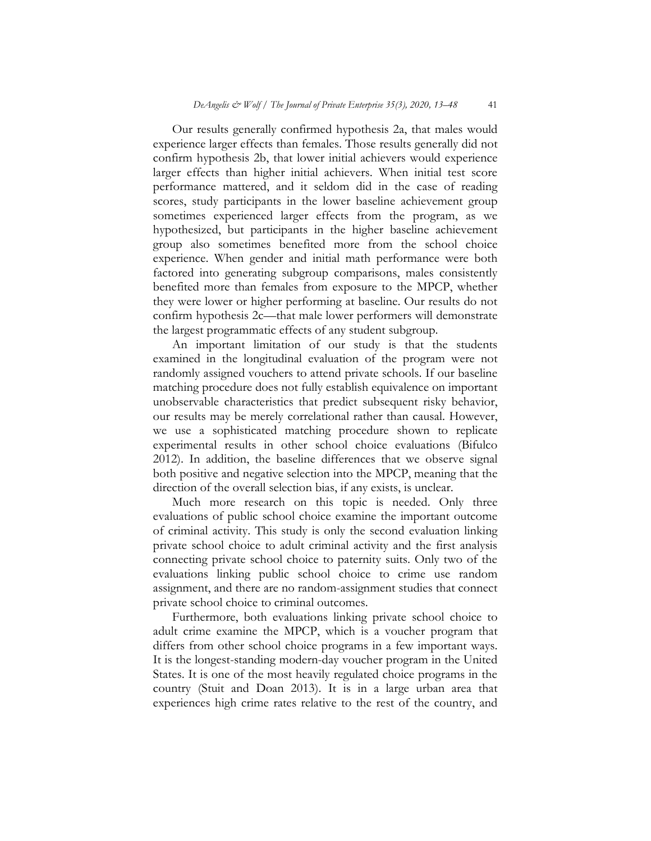Our results generally confirmed hypothesis 2a, that males would experience larger effects than females. Those results generally did not confirm hypothesis 2b, that lower initial achievers would experience larger effects than higher initial achievers. When initial test score performance mattered, and it seldom did in the case of reading scores, study participants in the lower baseline achievement group sometimes experienced larger effects from the program, as we hypothesized, but participants in the higher baseline achievement group also sometimes benefited more from the school choice experience. When gender and initial math performance were both factored into generating subgroup comparisons, males consistently benefited more than females from exposure to the MPCP, whether they were lower or higher performing at baseline. Our results do not confirm hypothesis 2c—that male lower performers will demonstrate the largest programmatic effects of any student subgroup.

An important limitation of our study is that the students examined in the longitudinal evaluation of the program were not randomly assigned vouchers to attend private schools. If our baseline matching procedure does not fully establish equivalence on important unobservable characteristics that predict subsequent risky behavior, our results may be merely correlational rather than causal. However, we use a sophisticated matching procedure shown to replicate experimental results in other school choice evaluations (Bifulco 2012). In addition, the baseline differences that we observe signal both positive and negative selection into the MPCP, meaning that the direction of the overall selection bias, if any exists, is unclear.

Much more research on this topic is needed. Only three evaluations of public school choice examine the important outcome of criminal activity. This study is only the second evaluation linking private school choice to adult criminal activity and the first analysis connecting private school choice to paternity suits. Only two of the evaluations linking public school choice to crime use random assignment, and there are no random-assignment studies that connect private school choice to criminal outcomes.

Furthermore, both evaluations linking private school choice to adult crime examine the MPCP, which is a voucher program that differs from other school choice programs in a few important ways. It is the longest-standing modern-day voucher program in the United States. It is one of the most heavily regulated choice programs in the country (Stuit and Doan 2013). It is in a large urban area that experiences high crime rates relative to the rest of the country, and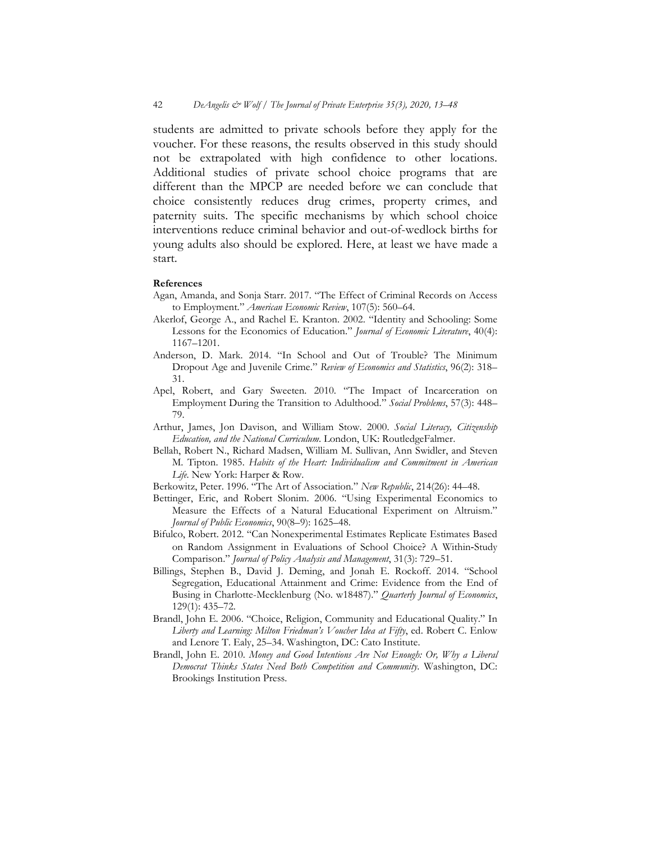students are admitted to private schools before they apply for the voucher. For these reasons, the results observed in this study should not be extrapolated with high confidence to other locations. Additional studies of private school choice programs that are different than the MPCP are needed before we can conclude that choice consistently reduces drug crimes, property crimes, and paternity suits. The specific mechanisms by which school choice interventions reduce criminal behavior and out-of-wedlock births for young adults also should be explored. Here, at least we have made a start.

#### **References**

- Agan, Amanda, and Sonja Starr. 2017. "The Effect of Criminal Records on Access to Employment." *American Economic Review*, 107(5): 560–64.
- Akerlof, George A., and Rachel E. Kranton. 2002. "Identity and Schooling: Some Lessons for the Economics of Education." *Journal of Economic Literature*, 40(4): 1167–1201.
- Anderson, D. Mark. 2014. "In School and Out of Trouble? The Minimum Dropout Age and Juvenile Crime." *Review of Economics and Statistics*, 96(2): 318– 31.
- Apel, Robert, and Gary Sweeten. 2010. "The Impact of Incarceration on Employment During the Transition to Adulthood." *Social Problems*, 57(3): 448– 79.
- Arthur, James, Jon Davison, and William Stow. 2000. *Social Literacy, Citizenship Education, and the National Curriculum*. London, UK: RoutledgeFalmer.
- Bellah, Robert N., Richard Madsen, William M. Sullivan, Ann Swidler, and Steven M. Tipton. 1985. *Habits of the Heart: Individualism and Commitment in American Life*. New York: Harper & Row.
- Berkowitz, Peter. 1996. "The Art of Association." *New Republic*, 214(26): 44–48.
- Bettinger, Eric, and Robert Slonim. 2006. "Using Experimental Economics to Measure the Effects of a Natural Educational Experiment on Altruism." *Journal of Public Economics*, 90(8–9): 1625–48.
- Bifulco, Robert. 2012. "Can Nonexperimental Estimates Replicate Estimates Based on Random Assignment in Evaluations of School Choice? A Within‐Study Comparison." *Journal of Policy Analysis and Management*, 31(3): 729–51.
- Billings, Stephen B., David J. Deming, and Jonah E. Rockoff. 2014. "School Segregation, Educational Attainment and Crime: Evidence from the End of Busing in Charlotte-Mecklenburg (No. w18487)." *Quarterly Journal of Economics*, 129(1): 435–72.
- Brandl, John E. 2006. "Choice, Religion, Community and Educational Quality." In *Liberty and Learning: Milton Friedman's Voucher Idea at Fifty*, ed. Robert C. Enlow and Lenore T. Ealy, 25–34. Washington, DC: Cato Institute.
- Brandl, John E. 2010. *Money and Good Intentions Are Not Enough: Or, Why a Liberal Democrat Thinks States Need Both Competition and Community*. Washington, DC: Brookings Institution Press.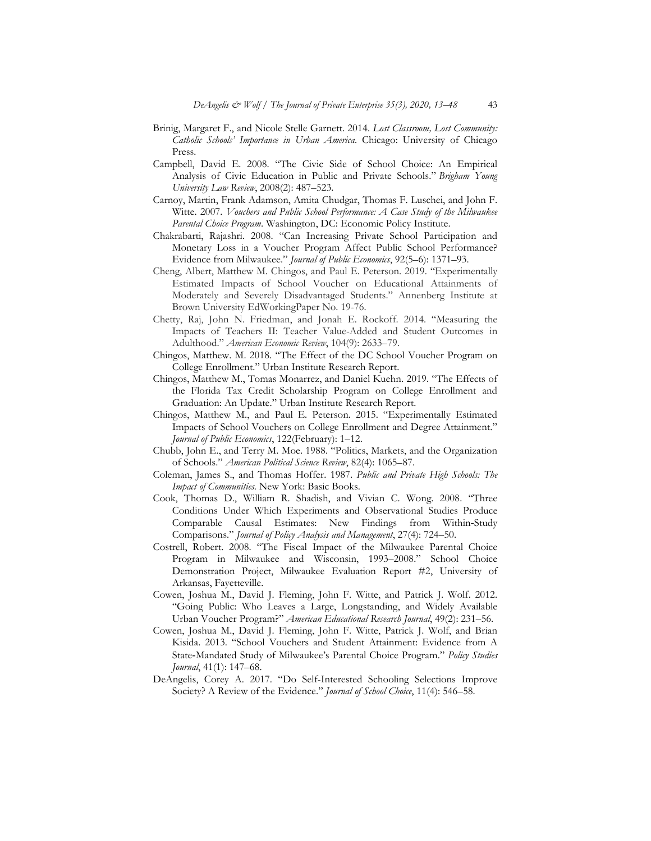- Brinig, Margaret F., and Nicole Stelle Garnett. 2014. *Lost Classroom, Lost Community: Catholic Schools' Importance in Urban America*. Chicago: University of Chicago Press.
- Campbell, David E. 2008. "The Civic Side of School Choice: An Empirical Analysis of Civic Education in Public and Private Schools." *Brigham Young University Law Review*, 2008(2): 487–523.
- Carnoy, Martin, Frank Adamson, Amita Chudgar, Thomas F. Luschei, and John F. Witte. 2007. *Vouchers and Public School Performance: A Case Study of the Milwaukee Parental Choice Program*. Washington, DC: Economic Policy Institute.
- Chakrabarti, Rajashri. 2008. "Can Increasing Private School Participation and Monetary Loss in a Voucher Program Affect Public School Performance? Evidence from Milwaukee." *Journal of Public Economics*, 92(5–6): 1371–93.
- Cheng, Albert, Matthew M. Chingos, and Paul E. Peterson. 2019. "Experimentally Estimated Impacts of School Voucher on Educational Attainments of Moderately and Severely Disadvantaged Students." Annenberg Institute at Brown University EdWorkingPaper No. 19-76.
- Chetty, Raj, John N. Friedman, and Jonah E. Rockoff. 2014. "Measuring the Impacts of Teachers II: Teacher Value-Added and Student Outcomes in Adulthood." *American Economic Review*, 104(9): 2633–79.
- Chingos, Matthew. M. 2018. "The Effect of the DC School Voucher Program on College Enrollment." Urban Institute Research Report.
- Chingos, Matthew M., Tomas Monarrez, and Daniel Kuehn. 2019. "The Effects of the Florida Tax Credit Scholarship Program on College Enrollment and Graduation: An Update." Urban Institute Research Report.
- Chingos, Matthew M., and Paul E. Peterson. 2015. "Experimentally Estimated Impacts of School Vouchers on College Enrollment and Degree Attainment." *Journal of Public Economics*, 122(February): 1–12.
- Chubb, John E., and Terry M. Moe. 1988. "Politics, Markets, and the Organization of Schools." *American Political Science Review*, 82(4): 1065–87.
- Coleman, James S., and Thomas Hoffer. 1987. *Public and Private High Schools: The Impact of Communities*. New York: Basic Books.
- Cook, Thomas D., William R. Shadish, and Vivian C. Wong. 2008. "Three Conditions Under Which Experiments and Observational Studies Produce Comparable Causal Estimates: New Findings from Within‐Study Comparisons." *Journal of Policy Analysis and Management*, 27(4): 724–50.
- Costrell, Robert. 2008. "The Fiscal Impact of the Milwaukee Parental Choice Program in Milwaukee and Wisconsin, 1993–2008." School Choice Demonstration Project, Milwaukee Evaluation Report #2, University of Arkansas, Fayetteville.
- Cowen, Joshua M., David J. Fleming, John F. Witte, and Patrick J. Wolf. 2012. "Going Public: Who Leaves a Large, Longstanding, and Widely Available Urban Voucher Program?" *American Educational Research Journal*, 49(2): 231–56.
- Cowen, Joshua M., David J. Fleming, John F. Witte, Patrick J. Wolf, and Brian Kisida. 2013. "School Vouchers and Student Attainment: Evidence from A State‐Mandated Study of Milwaukee's Parental Choice Program." *Policy Studies Journal*, 41(1): 147–68.
- DeAngelis, Corey A. 2017. "Do Self-Interested Schooling Selections Improve Society? A Review of the Evidence." *Journal of School Choice*, 11(4): 546–58.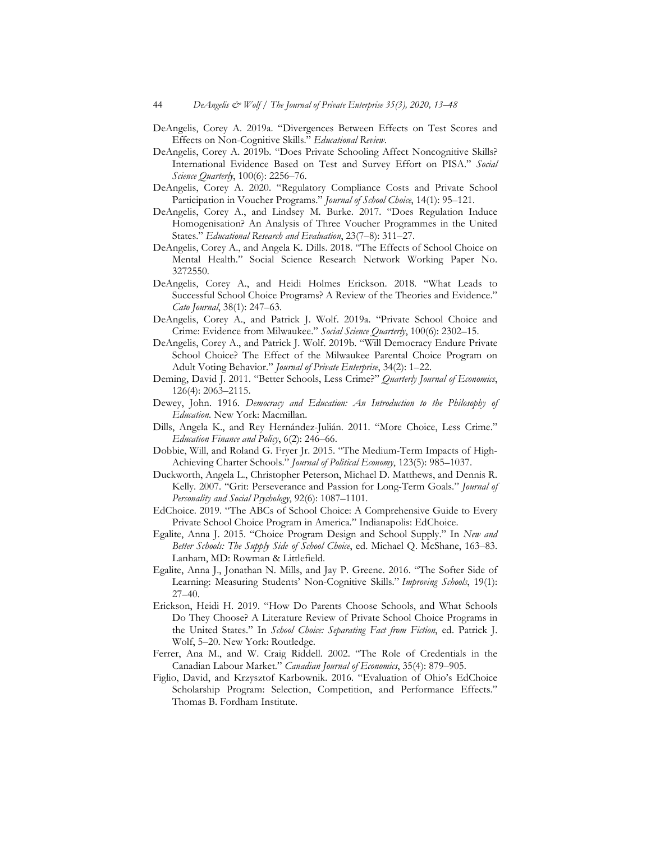- DeAngelis, Corey A. 2019a. "Divergences Between Effects on Test Scores and Effects on Non-Cognitive Skills." *Educational Review*.
- DeAngelis, Corey A. 2019b. "Does Private Schooling Affect Noncognitive Skills? International Evidence Based on Test and Survey Effort on PISA." *Social Science Quarterly*, 100(6): 2256–76.
- DeAngelis, Corey A. 2020. "Regulatory Compliance Costs and Private School Participation in Voucher Programs." *Journal of School Choice*, 14(1): 95–121.
- DeAngelis, Corey A., and Lindsey M. Burke. 2017. "Does Regulation Induce Homogenisation? An Analysis of Three Voucher Programmes in the United States." *Educational Research and Evaluation*, 23(7–8): 311–27.
- DeAngelis, Corey A., and Angela K. Dills. 2018. "The Effects of School Choice on Mental Health." Social Science Research Network Working Paper No. 3272550.
- DeAngelis, Corey A., and Heidi Holmes Erickson. 2018. "What Leads to Successful School Choice Programs? A Review of the Theories and Evidence." *Cato Journal*, 38(1): 247–63.
- DeAngelis, Corey A., and Patrick J. Wolf. 2019a. "Private School Choice and Crime: Evidence from Milwaukee." *Social Science Quarterly*, 100(6): 2302–15.
- DeAngelis, Corey A., and Patrick J. Wolf. 2019b. "Will Democracy Endure Private School Choice? The Effect of the Milwaukee Parental Choice Program on Adult Voting Behavior." *Journal of Private Enterprise*, 34(2): 1–22.
- Deming, David J. 2011. "Better Schools, Less Crime?" *Quarterly Journal of Economics*, 126(4): 2063–2115.
- Dewey, John. 1916. *Democracy and Education: An Introduction to the Philosophy of Education*. New York: Macmillan.
- Dills, Angela K., and Rey Hernández-Julián. 2011. "More Choice, Less Crime." *Education Finance and Policy*, 6(2): 246–66.
- Dobbie, Will, and Roland G. Fryer Jr. 2015. "The Medium-Term Impacts of High-Achieving Charter Schools." *Journal of Political Economy*, 123(5): 985–1037.
- Duckworth, Angela L., Christopher Peterson, Michael D. Matthews, and Dennis R. Kelly. 2007. "Grit: Perseverance and Passion for Long-Term Goals." *Journal of Personality and Social Psychology*, 92(6): 1087–1101.
- EdChoice. 2019. "The ABCs of School Choice: A Comprehensive Guide to Every Private School Choice Program in America." Indianapolis: EdChoice.
- Egalite, Anna J. 2015. "Choice Program Design and School Supply." In *New and Better Schools: The Supply Side of School Choice*, ed. Michael Q. McShane, 163–83. Lanham, MD: Rowman & Littlefield.
- Egalite, Anna J., Jonathan N. Mills, and Jay P. Greene. 2016. "The Softer Side of Learning: Measuring Students' Non-Cognitive Skills." *Improving Schools*, 19(1): 27–40.
- Erickson, Heidi H. 2019. "How Do Parents Choose Schools, and What Schools Do They Choose? A Literature Review of Private School Choice Programs in the United States." In *School Choice: Separating Fact from Fiction*, ed. Patrick J. Wolf, 5–20. New York: Routledge.
- Ferrer, Ana M., and W. Craig Riddell. 2002. "The Role of Credentials in the Canadian Labour Market." *Canadian Journal of Economics*, 35(4): 879–905.
- Figlio, David, and Krzysztof Karbownik. 2016. "Evaluation of Ohio's EdChoice Scholarship Program: Selection, Competition, and Performance Effects." Thomas B. Fordham Institute.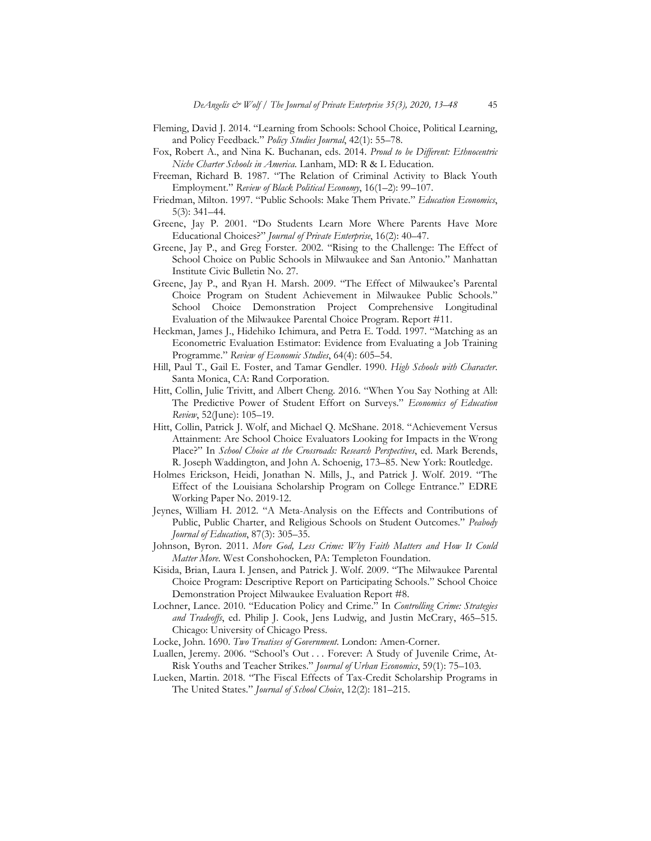- Fleming, David J. 2014. "Learning from Schools: School Choice, Political Learning, and Policy Feedback." *Policy Studies Journal*, 42(1): 55–78.
- Fox, Robert A., and Nina K. Buchanan, eds. 2014. *Proud to be Different: Ethnocentric Niche Charter Schools in America*. Lanham, MD: R & L Education.
- Freeman, Richard B. 1987. "The Relation of Criminal Activity to Black Youth Employment." *Review of Black Political Economy*, 16(1–2): 99–107.
- Friedman, Milton. 1997. "Public Schools: Make Them Private." *Education Economics*, 5(3): 341–44.
- Greene, Jay P. 2001. "Do Students Learn More Where Parents Have More Educational Choices?" *Journal of Private Enterprise*, 16(2): 40–47.
- Greene, Jay P., and Greg Forster. 2002. "Rising to the Challenge: The Effect of School Choice on Public Schools in Milwaukee and San Antonio." Manhattan Institute Civic Bulletin No. 27.
- Greene, Jay P., and Ryan H. Marsh. 2009. "The Effect of Milwaukee's Parental Choice Program on Student Achievement in Milwaukee Public Schools." School Choice Demonstration Project Comprehensive Longitudinal Evaluation of the Milwaukee Parental Choice Program. Report #11.
- Heckman, James J., Hidehiko Ichimura, and Petra E. Todd. 1997. "Matching as an Econometric Evaluation Estimator: Evidence from Evaluating a Job Training Programme." *Review of Economic Studies*, 64(4): 605–54.
- Hill, Paul T., Gail E. Foster, and Tamar Gendler. 1990. *High Schools with Character*. Santa Monica, CA: Rand Corporation.
- Hitt, Collin, Julie Trivitt, and Albert Cheng. 2016. "When You Say Nothing at All: The Predictive Power of Student Effort on Surveys." *Economics of Education Review*, 52(June): 105–19.
- Hitt, Collin, Patrick J. Wolf, and Michael Q. McShane. 2018. "Achievement Versus Attainment: Are School Choice Evaluators Looking for Impacts in the Wrong Place?" In *School Choice at the Crossroads: Research Perspectives*, ed. Mark Berends, R. Joseph Waddington, and John A. Schoenig, 173–85. New York: Routledge.
- Holmes Erickson, Heidi, Jonathan N. Mills, J., and Patrick J. Wolf. 2019. "The Effect of the Louisiana Scholarship Program on College Entrance." EDRE Working Paper No. 2019-12.
- Jeynes, William H. 2012. "A Meta-Analysis on the Effects and Contributions of Public, Public Charter, and Religious Schools on Student Outcomes." *Peabody Journal of Education*, 87(3): 305–35.
- Johnson, Byron. 2011. *More God, Less Crime: Why Faith Matters and How It Could Matter More*. West Conshohocken, PA: Templeton Foundation.
- Kisida, Brian, Laura I. Jensen, and Patrick J. Wolf. 2009. "The Milwaukee Parental Choice Program: Descriptive Report on Participating Schools." School Choice Demonstration Project Milwaukee Evaluation Report #8.
- Lochner, Lance. 2010. "Education Policy and Crime." In *Controlling Crime: Strategies and Tradeoffs*, ed. Philip J. Cook, Jens Ludwig, and Justin McCrary, 465–515. Chicago: University of Chicago Press.
- Locke, John. 1690. *Two Treatises of Government*. London: Amen-Corner.
- Luallen, Jeremy. 2006. "School's Out . . . Forever: A Study of Juvenile Crime, At-Risk Youths and Teacher Strikes." *Journal of Urban Economics*, 59(1): 75–103.
- Lueken, Martin. 2018. "The Fiscal Effects of Tax-Credit Scholarship Programs in The United States." *Journal of School Choice*, 12(2): 181–215.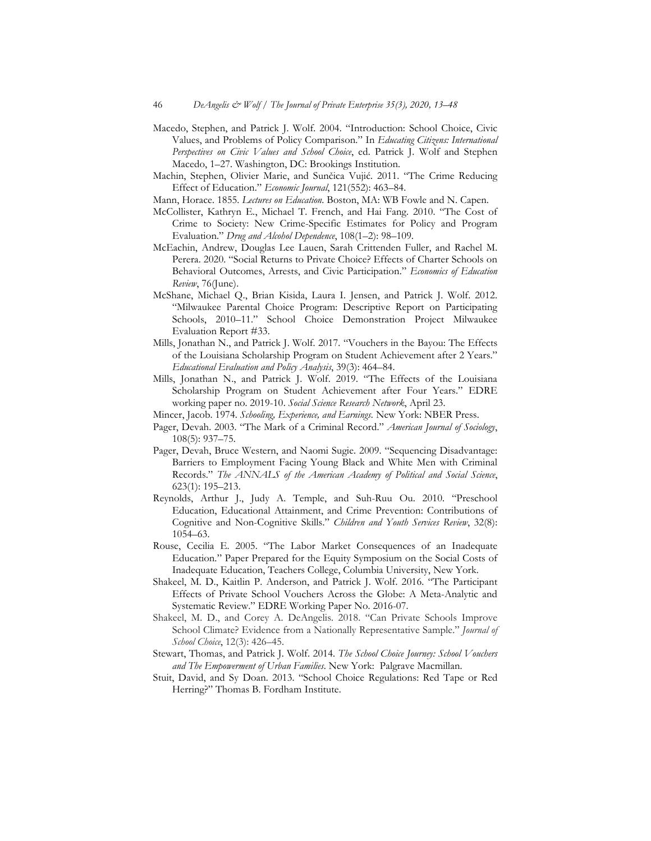- Macedo, Stephen, and Patrick J. Wolf. 2004. "Introduction: School Choice, Civic Values, and Problems of Policy Comparison." In *Educating Citizens: International Perspectives on Civic Values and School Choice*, ed. Patrick J. Wolf and Stephen Macedo, 1–27. Washington, DC: Brookings Institution.
- Machin, Stephen, Olivier Marie, and Sunčica Vujić. 2011. "The Crime Reducing Effect of Education." *Economic Journal*, 121(552): 463–84.
- Mann, Horace. 1855. *Lectures on Education*. Boston, MA: WB Fowle and N. Capen.
- McCollister, Kathryn E., Michael T. French, and Hai Fang. 2010. "The Cost of Crime to Society: New Crime-Specific Estimates for Policy and Program Evaluation." *Drug and Alcohol Dependence*, 108(1–2): 98–109.
- McEachin, Andrew, Douglas Lee Lauen, Sarah Crittenden Fuller, and Rachel M. Perera. 2020. "Social Returns to Private Choice? Effects of Charter Schools on Behavioral Outcomes, Arrests, and Civic Participation." *Economics of Education Review*, 76(June).
- McShane, Michael Q., Brian Kisida, Laura I. Jensen, and Patrick J. Wolf. 2012. "Milwaukee Parental Choice Program: Descriptive Report on Participating Schools, 2010–11." School Choice Demonstration Project Milwaukee Evaluation Report #33.
- Mills, Jonathan N., and Patrick J. Wolf. 2017. "Vouchers in the Bayou: The Effects of the Louisiana Scholarship Program on Student Achievement after 2 Years." *Educational Evaluation and Policy Analysis*, 39(3): 464–84.
- Mills, Jonathan N., and Patrick J. Wolf. 2019. "The Effects of the Louisiana Scholarship Program on Student Achievement after Four Years." EDRE working paper no. 2019-10. *Social Science Research Network*, April 23.
- Mincer, Jacob. 1974. *Schooling, Experience, and Earnings*. New York: NBER Press.
- Pager, Devah. 2003. "The Mark of a Criminal Record." *American Journal of Sociology*, 108(5): 937–75.
- Pager, Devah, Bruce Western, and Naomi Sugie. 2009. "Sequencing Disadvantage: Barriers to Employment Facing Young Black and White Men with Criminal Records." *The ANNALS of the American Academy of Political and Social Science*, 623(1): 195–213.
- Reynolds, Arthur J., Judy A. Temple, and Suh-Ruu Ou. 2010. "Preschool Education, Educational Attainment, and Crime Prevention: Contributions of Cognitive and Non-Cognitive Skills." *Children and Youth Services Review*, 32(8): 1054–63.
- Rouse, Cecilia E. 2005. "The Labor Market Consequences of an Inadequate Education." Paper Prepared for the Equity Symposium on the Social Costs of Inadequate Education, Teachers College, Columbia University, New York.
- Shakeel, M. D., Kaitlin P. Anderson, and Patrick J. Wolf. 2016. "The Participant Effects of Private School Vouchers Across the Globe: A Meta-Analytic and Systematic Review." EDRE Working Paper No. 2016-07.
- Shakeel, M. D., and Corey A. DeAngelis. 2018. "Can Private Schools Improve School Climate? Evidence from a Nationally Representative Sample." *Journal of School Choice*, 12(3): 426–45.
- Stewart, Thomas, and Patrick J. Wolf. 2014. *The School Choice Journey: School Vouchers and The Empowerment of Urban Families*. New York: Palgrave Macmillan.
- Stuit, David, and Sy Doan. 2013. "School Choice Regulations: Red Tape or Red Herring?" Thomas B. Fordham Institute.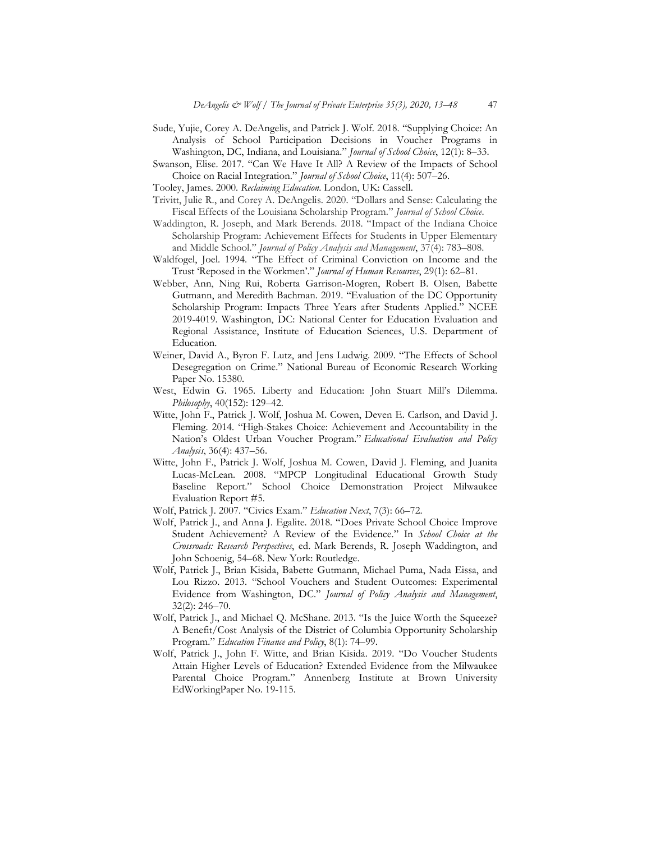- Sude, Yujie, Corey A. DeAngelis, and Patrick J. Wolf. 2018. "Supplying Choice: An Analysis of School Participation Decisions in Voucher Programs in Washington, DC, Indiana, and Louisiana." *Journal of School Choice*, 12(1): 8–33.
- Swanson, Elise. 2017. "Can We Have It All? A Review of the Impacts of School Choice on Racial Integration." *Journal of School Choice*, 11(4): 507–26.
- Tooley, James. 2000. *Reclaiming Education*. London, UK: Cassell.
- Trivitt, Julie R., and Corey A. DeAngelis. 2020. "Dollars and Sense: Calculating the Fiscal Effects of the Louisiana Scholarship Program." *Journal of School Choice*.
- Waddington, R. Joseph, and Mark Berends. 2018. "Impact of the Indiana Choice Scholarship Program: Achievement Effects for Students in Upper Elementary and Middle School." *Journal of Policy Analysis and Management*, 37(4): 783–808.
- Waldfogel, Joel. 1994. "The Effect of Criminal Conviction on Income and the Trust 'Reposed in the Workmen'." *Journal of Human Resources*, 29(1): 62–81.
- Webber, Ann, Ning Rui, Roberta Garrison-Mogren, Robert B. Olsen, Babette Gutmann, and Meredith Bachman. 2019. "Evaluation of the DC Opportunity Scholarship Program: Impacts Three Years after Students Applied." NCEE 2019-4019. Washington, DC: National Center for Education Evaluation and Regional Assistance, Institute of Education Sciences, U.S. Department of Education.
- Weiner, David A., Byron F. Lutz, and Jens Ludwig. 2009. "The Effects of School Desegregation on Crime." National Bureau of Economic Research Working Paper No. 15380.
- West, Edwin G. 1965. Liberty and Education: John Stuart Mill's Dilemma. *Philosophy*, 40(152): 129–42.
- Witte, John F., Patrick J. Wolf, Joshua M. Cowen, Deven E. Carlson, and David J. Fleming. 2014. "High-Stakes Choice: Achievement and Accountability in the Nation's Oldest Urban Voucher Program." *Educational Evaluation and Policy Analysis*, 36(4): 437–56.
- Witte, John F., Patrick J. Wolf, Joshua M. Cowen, David J. Fleming, and Juanita Lucas-McLean. 2008. "MPCP Longitudinal Educational Growth Study Baseline Report." School Choice Demonstration Project Milwaukee Evaluation Report #5.
- Wolf, Patrick J. 2007. "Civics Exam." *Education Next*, 7(3): 66–72.
- Wolf, Patrick J., and Anna J. Egalite. 2018. "Does Private School Choice Improve Student Achievement? A Review of the Evidence." In *School Choice at the Crossroads: Research Perspectives*, ed. Mark Berends, R. Joseph Waddington, and John Schoenig, 54–68. New York: Routledge.
- Wolf, Patrick J., Brian Kisida, Babette Gutmann, Michael Puma, Nada Eissa, and Lou Rizzo. 2013. "School Vouchers and Student Outcomes: Experimental Evidence from Washington, DC." *Journal of Policy Analysis and Management*, 32(2): 246–70.
- Wolf, Patrick J., and Michael Q. McShane. 2013. "Is the Juice Worth the Squeeze? A Benefit/Cost Analysis of the District of Columbia Opportunity Scholarship Program." *Education Finance and Policy*, 8(1): 74–99.
- Wolf, Patrick J., John F. Witte, and Brian Kisida. 2019. "Do Voucher Students Attain Higher Levels of Education? Extended Evidence from the Milwaukee Parental Choice Program." Annenberg Institute at Brown University EdWorkingPaper No. 19-115.